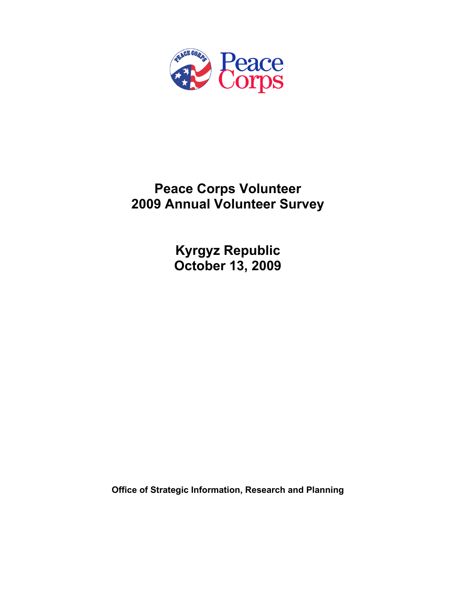

# **Peace Corps Volunteer 2009 Annual Volunteer Survey**

**Kyrgyz Republic October 13, 2009** 

**Office of Strategic Information, Research and Planning**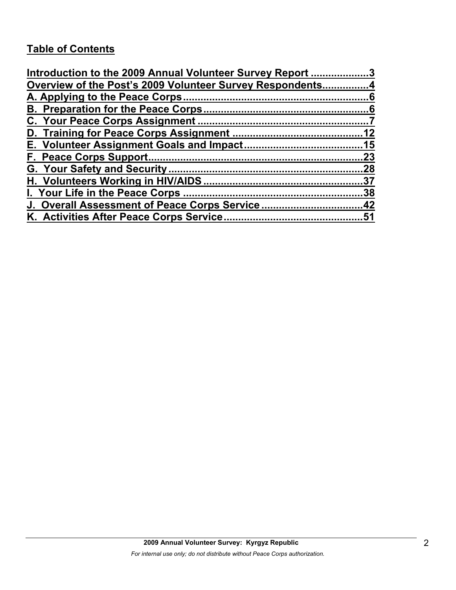# **Table of Contents**

| Introduction to the 2009 Annual Volunteer Survey Report 3 |    |
|-----------------------------------------------------------|----|
| Overview of the Post's 2009 Volunteer Survey Respondents4 |    |
|                                                           |    |
|                                                           |    |
|                                                           |    |
|                                                           |    |
|                                                           |    |
|                                                           | 23 |
|                                                           |    |
|                                                           |    |
|                                                           |    |
| J. Overall Assessment of Peace Corps Service42            |    |
|                                                           |    |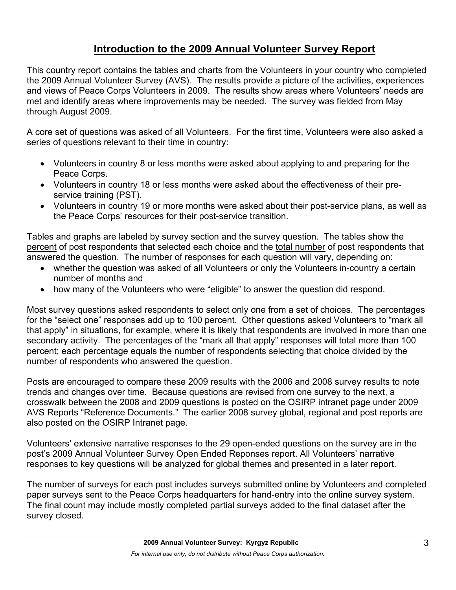# **Introduction to the 2009 Annual Volunteer Survey Report**

This country report contains the tables and charts from the Volunteers in your country who completed the 2009 Annual Volunteer Survey (AVS). The results provide a picture of the activities, experiences and views of Peace Corps Volunteers in 2009. The results show areas where Volunteers' needs are met and identify areas where improvements may be needed. The survey was fielded from May through August 2009.

A core set of questions was asked of all Volunteers. For the first time, Volunteers were also asked a series of questions relevant to their time in country:

- Volunteers in country 8 or less months were asked about applying to and preparing for the Peace Corps.
- Volunteers in country 18 or less months were asked about the effectiveness of their preservice training (PST).
- Volunteers in country 19 or more months were asked about their post-service plans, as well as the Peace Corps' resources for their post-service transition.

Tables and graphs are labeled by survey section and the survey question. The tables show the percent of post respondents that selected each choice and the total number of post respondents that answered the question. The number of responses for each question will vary, depending on:

- whether the question was asked of all Volunteers or only the Volunteers in-country a certain number of months and
- how many of the Volunteers who were "eligible" to answer the question did respond.

Most survey questions asked respondents to select only one from a set of choices. The percentages for the "select one" responses add up to 100 percent. Other questions asked Volunteers to "mark all that apply" in situations, for example, where it is likely that respondents are involved in more than one secondary activity. The percentages of the "mark all that apply" responses will total more than 100 percent; each percentage equals the number of respondents selecting that choice divided by the number of respondents who answered the question.

Posts are encouraged to compare these 2009 results with the 2006 and 2008 survey results to note trends and changes over time. Because questions are revised from one survey to the next, a crosswalk between the 2008 and 2009 questions is posted on the OSIRP intranet page under 2009 AVS Reports "Reference Documents." The earlier 2008 survey global, regional and post reports are also posted on the OSIRP Intranet page.

Volunteers' extensive narrative responses to the 29 open-ended questions on the survey are in the post's 2009 Annual Volunteer Survey Open Ended Reponses report. All Volunteers' narrative responses to key questions will be analyzed for global themes and presented in a later report.

The number of surveys for each post includes surveys submitted online by Volunteers and completed paper surveys sent to the Peace Corps headquarters for hand-entry into the online survey system. The final count may include mostly completed partial surveys added to the final dataset after the survey closed.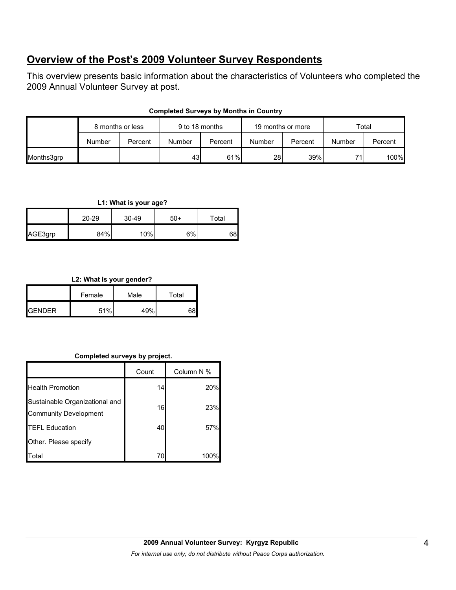## **Overview of the Post's 2009 Volunteer Survey Respondents**

This overview presents basic information about the characteristics of Volunteers who completed the 2009 Annual Volunteer Survey at post.

|            | 8 months or less |         | 9 to 18 months |         |           | 19 months or more |        | Total   |  |
|------------|------------------|---------|----------------|---------|-----------|-------------------|--------|---------|--|
|            | Number           | Percent | Number         | Percent | Number    | Percent           | Number | Percent |  |
| Months3grp |                  |         | 43             | 61%     | <b>28</b> | 39%               | 74     | 100%    |  |

## **Completed Surveys by Months in Country**

## **L1: What is your age?**

|         | 20-29 | 30-49 | $50+$ | Total |
|---------|-------|-------|-------|-------|
| AGE3grp | 84%   | 10%   | $6\%$ | 68    |

## **L2: What is your gender?**

|                 | Female | Male | Total |  |
|-----------------|--------|------|-------|--|
| <b>I</b> GENDER | 51%    | 49%  |       |  |

## **Completed surveys by project.**

|                                                                | Count | Column N % |
|----------------------------------------------------------------|-------|------------|
| <b>Health Promotion</b>                                        | 14    | 20%        |
| Sustainable Organizational and<br><b>Community Development</b> | 16    | 23%        |
| <b>TEFL Education</b>                                          | 40    | 57%        |
| Other. Please specify                                          |       |            |
| Total                                                          | 70    | 100%       |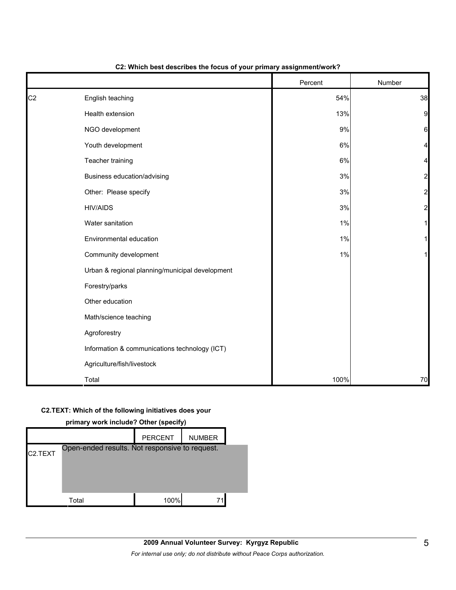|                |                                                 | Percent | Number         |
|----------------|-------------------------------------------------|---------|----------------|
| C <sub>2</sub> | English teaching                                | 54%     | 38             |
|                | Health extension                                | 13%     | 9              |
|                | NGO development                                 | 9%      | $6 \mid$       |
|                | Youth development                               | 6%      | 4              |
|                | Teacher training                                | 6%      |                |
|                | Business education/advising                     | 3%      | $\overline{a}$ |
|                | Other: Please specify                           | 3%      | $\overline{c}$ |
|                | <b>HIV/AIDS</b>                                 | 3%      | $\overline{a}$ |
|                | Water sanitation                                | 1%      |                |
|                | Environmental education                         | 1%      |                |
|                | Community development                           | 1%      |                |
|                | Urban & regional planning/municipal development |         |                |
|                | Forestry/parks                                  |         |                |
|                | Other education                                 |         |                |
|                | Math/science teaching                           |         |                |
|                | Agroforestry                                    |         |                |
|                | Information & communications technology (ICT)   |         |                |
|                | Agriculture/fish/livestock                      |         |                |
|                | Total                                           | 100%    | 70             |

#### **C2: Which best describes the focus of your primary assignment/work?**

#### **C2.TEXT: Which of the following initiatives does your**

| primary work include? Other (specify) |                                                |                |               |  |  |
|---------------------------------------|------------------------------------------------|----------------|---------------|--|--|
|                                       |                                                | <b>PERCENT</b> | <b>NUMBER</b> |  |  |
| C <sub>2</sub> .TEXT                  | Open-ended results. Not responsive to request. |                |               |  |  |
|                                       | Total                                          | 100%           |               |  |  |

#### **primary work include? Other (specify)**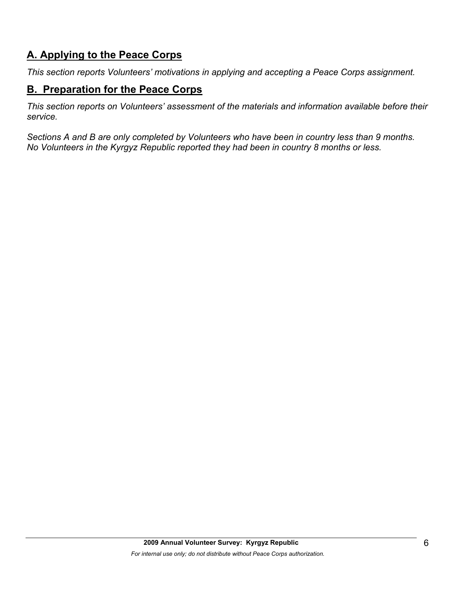# **A. Applying to the Peace Corps**

*This section reports Volunteers' motivations in applying and accepting a Peace Corps assignment.* 

## **B. Preparation for the Peace Corps**

*This section reports on Volunteers' assessment of the materials and information available before their service.* 

*Sections A and B are only completed by Volunteers who have been in country less than 9 months. No Volunteers in the Kyrgyz Republic reported they had been in country 8 months or less.*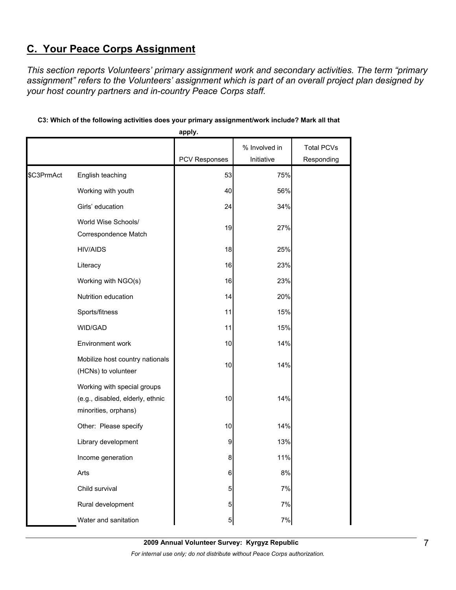# **C. Your Peace Corps Assignment**

*This section reports Volunteers' primary assignment work and secondary activities. The term "primary assignment" refers to the Volunteers' assignment which is part of an overall project plan designed by your host country partners and in-country Peace Corps staff.* 

|            |                                                                                         | apply.        |               |                   |
|------------|-----------------------------------------------------------------------------------------|---------------|---------------|-------------------|
|            |                                                                                         |               | % Involved in | <b>Total PCVs</b> |
|            |                                                                                         | PCV Responses | Initiative    | Responding        |
| \$C3PrmAct | English teaching                                                                        | 53            | 75%           |                   |
|            | Working with youth                                                                      | 40            | 56%           |                   |
|            | Girls' education                                                                        | 24            | 34%           |                   |
|            | World Wise Schools/<br>Correspondence Match                                             | 19            | 27%           |                   |
|            | <b>HIV/AIDS</b>                                                                         | 18            | 25%           |                   |
|            | Literacy                                                                                | 16            | 23%           |                   |
|            | Working with NGO(s)                                                                     | 16            | 23%           |                   |
|            | Nutrition education                                                                     | 14            | 20%           |                   |
|            | Sports/fitness                                                                          | 11            | 15%           |                   |
|            | WID/GAD                                                                                 | 11            | 15%           |                   |
|            | Environment work                                                                        | 10            | 14%           |                   |
|            | Mobilize host country nationals<br>(HCNs) to volunteer                                  | 10            | 14%           |                   |
|            | Working with special groups<br>(e.g., disabled, elderly, ethnic<br>minorities, orphans) | 10            | 14%           |                   |
|            | Other: Please specify                                                                   | 10            | 14%           |                   |
|            | Library development                                                                     | 9             | 13%           |                   |
|            | Income generation                                                                       | 8             | 11%           |                   |
|            | Arts                                                                                    | 6             | 8%            |                   |
|            | Child survival                                                                          | 5             | 7%            |                   |
|            | Rural development                                                                       | 5             | 7%            |                   |
|            | Water and sanitation                                                                    | 5             | 7%            |                   |

## **C3: Which of the following activities does your primary assignment/work include? Mark all that**

**2009 Annual Volunteer Survey: Kyrgyz Republic**  *For internal use only; do not distribute without Peace Corps authorization.*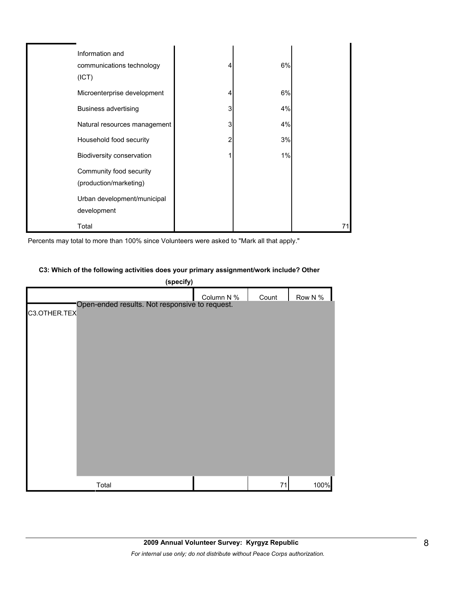| Information and              |   |       |    |
|------------------------------|---|-------|----|
| communications technology    |   | 6%    |    |
| (ICT)                        |   |       |    |
| Microenterprise development  |   | 6%    |    |
| <b>Business advertising</b>  | 3 | 4%    |    |
| Natural resources management | 3 | 4%    |    |
| Household food security      |   | 3%    |    |
| Biodiversity conservation    |   | $1\%$ |    |
| Community food security      |   |       |    |
| (production/marketing)       |   |       |    |
| Urban development/municipal  |   |       |    |
| development                  |   |       |    |
| Total                        |   |       | 71 |

Percents may total to more than 100% since Volunteers were asked to "Mark all that apply."

#### **C3: Which of the following activities does your primary assignment/work include? Other**

|              | (specify)                                      |            |       |         |
|--------------|------------------------------------------------|------------|-------|---------|
|              |                                                | Column N % | Count | Row N % |
| C3.OTHER.TEX | Open-ended results. Not responsive to request. |            |       |         |
|              |                                                |            |       |         |
|              |                                                |            |       |         |
|              |                                                |            |       |         |
|              |                                                |            |       |         |
|              |                                                |            |       |         |
|              |                                                |            |       |         |
|              |                                                |            |       |         |
|              |                                                |            |       |         |
|              |                                                |            |       |         |
|              |                                                |            |       |         |
|              |                                                |            |       |         |
|              |                                                |            |       |         |
|              |                                                |            |       |         |
|              | Total                                          |            | 71    | 100%    |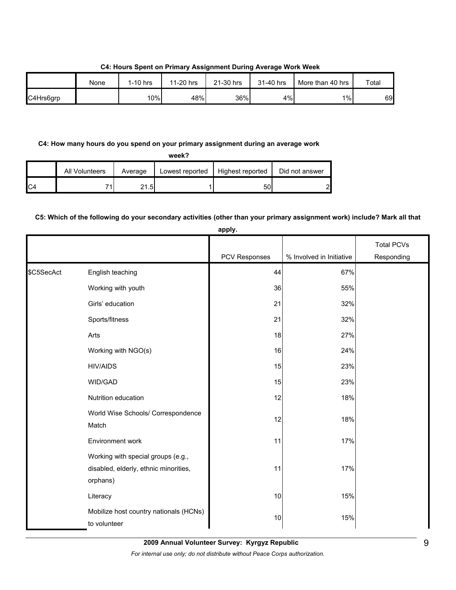None | 1-10 hrs | 11-20 hrs | 21-30 hrs | 31-40 hrs | More than 40 hrs | Total C4Hrs6grp | | 10%| 48%| 36%| 4%| 1%| 69

#### **C4: Hours Spent on Primary Assignment During Average Work Week**

## **C4: How many hours do you spend on your primary assignment during an average work**

**week?**

|                | <b>All Volunteers</b> | Average | Lowest reported | Highest reported | Did not answer |
|----------------|-----------------------|---------|-----------------|------------------|----------------|
| C <sub>4</sub> | 74                    | 21.51   |                 | 50               | പ              |

## **C5: Which of the following do your secondary activities (other than your primary assignment work) include? Mark all that**

|            |                                                                                         | apply.        |                          |                                 |
|------------|-----------------------------------------------------------------------------------------|---------------|--------------------------|---------------------------------|
|            |                                                                                         | PCV Responses | % Involved in Initiative | <b>Total PCVs</b><br>Responding |
| \$C5SecAct | English teaching                                                                        | 44            | 67%                      |                                 |
|            | Working with youth                                                                      | 36            | 55%                      |                                 |
|            | Girls' education                                                                        | 21            | 32%                      |                                 |
|            | Sports/fitness                                                                          | 21            | 32%                      |                                 |
|            | Arts                                                                                    | 18            | 27%                      |                                 |
|            | Working with NGO(s)                                                                     | 16            | 24%                      |                                 |
|            | <b>HIV/AIDS</b>                                                                         | 15            | 23%                      |                                 |
|            | WID/GAD                                                                                 | 15            | 23%                      |                                 |
|            | Nutrition education                                                                     | 12            | 18%                      |                                 |
|            | World Wise Schools/ Correspondence<br>Match                                             | 12            | 18%                      |                                 |
|            | Environment work                                                                        | 11            | 17%                      |                                 |
|            | Working with special groups (e.g.,<br>disabled, elderly, ethnic minorities,<br>orphans) | 11            | 17%                      |                                 |
|            | Literacy                                                                                | 10            | 15%                      |                                 |
|            | Mobilize host country nationals (HCNs)<br>to volunteer                                  | 10            | 15%                      |                                 |

**2009 Annual Volunteer Survey: Kyrgyz Republic**  *For internal use only; do not distribute without Peace Corps authorization.*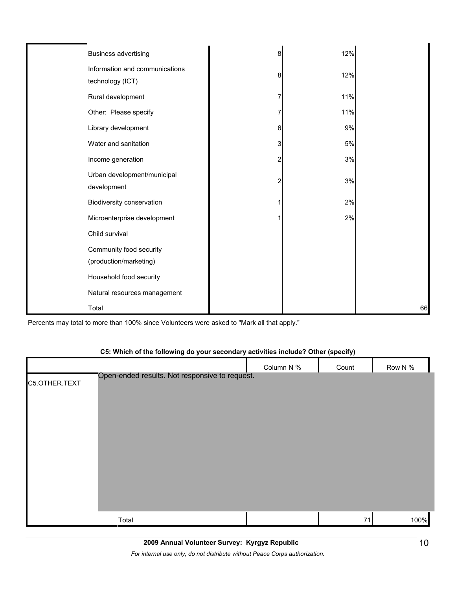| <b>Business advertising</b>                        | 8 | 12% |    |
|----------------------------------------------------|---|-----|----|
| Information and communications<br>technology (ICT) | 8 | 12% |    |
| Rural development                                  |   | 11% |    |
| Other: Please specify                              |   | 11% |    |
| Library development                                | 6 | 9%  |    |
| Water and sanitation                               | 3 | 5%  |    |
| Income generation                                  |   | 3%  |    |
| Urban development/municipal<br>development         | 2 | 3%  |    |
| Biodiversity conservation                          |   | 2%  |    |
| Microenterprise development                        |   | 2%  |    |
| Child survival                                     |   |     |    |
| Community food security<br>(production/marketing)  |   |     |    |
| Household food security                            |   |     |    |
| Natural resources management                       |   |     |    |
| Total                                              |   |     | 66 |

Percents may total to more than 100% since Volunteers were asked to "Mark all that apply."

## **C5: Which of the following do your secondary activities include? Other (specify)**

|               |                                                | Column N % | Count | Row N % |
|---------------|------------------------------------------------|------------|-------|---------|
| C5.OTHER.TEXT | Open-ended results. Not responsive to request. |            |       |         |
|               | Total                                          |            | 71    | 100%    |

*For internal use only; do not distribute without Peace Corps authorization.*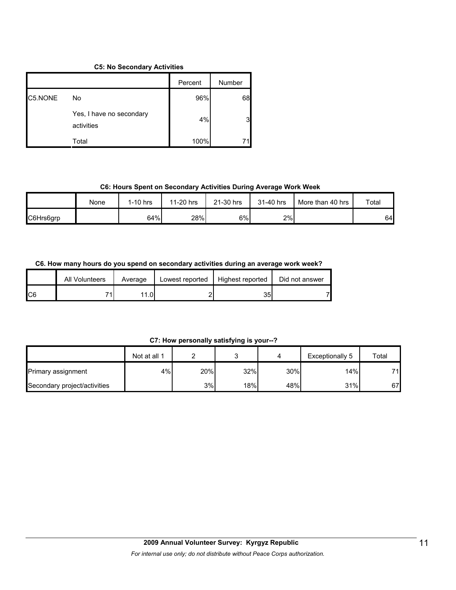#### **C5: No Secondary Activities**

|         |                                        | Percent | Number |
|---------|----------------------------------------|---------|--------|
| C5.NONE | No                                     | 96%     | 68     |
|         | Yes, I have no secondary<br>activities | 4%      |        |
|         | Total                                  | 100%    |        |

#### **C6: Hours Spent on Secondary Activities During Average Work Week**

|           | None | $1-10$ hrs | 11-20 hrs | 21-30 hrs | 31-40 hrs | More than 40 hrs | Total |
|-----------|------|------------|-----------|-----------|-----------|------------------|-------|
| C6Hrs6grp |      | 64%        | 28%       | 6%        | 2%        |                  | 64    |

## **C6. How many hours do you spend on secondary activities during an average work week?**

|     | All Volunteers | Average          | Lowest reported | Highest reported | Did not answer |
|-----|----------------|------------------|-----------------|------------------|----------------|
| IC6 | 74             | 1.0 <sub>1</sub> |                 | 35               |                |

## **C7: How personally satisfying is your--?**

|                              | Not at all 1 |     | ∽   |     | Exceptionally 5 | Total |
|------------------------------|--------------|-----|-----|-----|-----------------|-------|
| <b>Primary assignment</b>    | 4%           | 20% | 32% | 30% | 14%             | 71    |
| Secondary project/activities |              | 3%  | 18% | 48% | 31%             | 67    |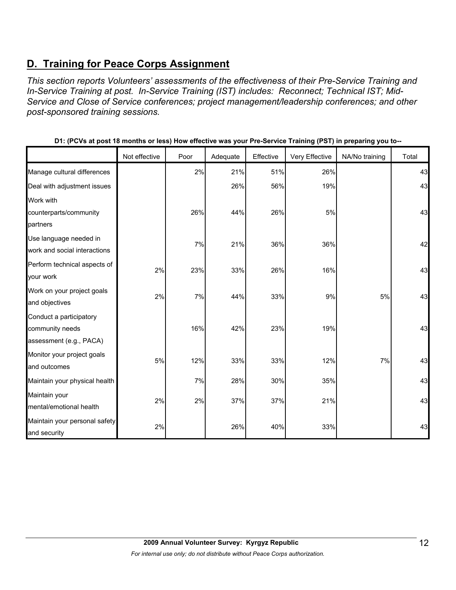# **D. Training for Peace Corps Assignment**

*This section reports Volunteers' assessments of the effectiveness of their Pre-Service Training and In-Service Training at post. In-Service Training (IST) includes: Reconnect; Technical IST; Mid-Service and Close of Service conferences; project management/leadership conferences; and other post-sponsored training sessions.* 

|                               | Not effective | Poor | Adequate | Effective | Very Effective | NA/No training | Total |
|-------------------------------|---------------|------|----------|-----------|----------------|----------------|-------|
| Manage cultural differences   |               | 2%   | 21%      | 51%       | 26%            |                | 43    |
| Deal with adjustment issues   |               |      | 26%      | 56%       | 19%            |                | 43    |
| Work with                     |               |      |          |           |                |                |       |
| counterparts/community        |               | 26%  | 44%      | 26%       | 5%             |                | 43    |
| partners                      |               |      |          |           |                |                |       |
| Use language needed in        |               | 7%   | 21%      | 36%       | 36%            |                | 42    |
| work and social interactions  |               |      |          |           |                |                |       |
| Perform technical aspects of  | 2%            | 23%  | 33%      | 26%       | 16%            |                | 43    |
| your work                     |               |      |          |           |                |                |       |
| Work on your project goals    | 2%            | 7%   | 44%      | 33%       | 9%             | 5%             | 43    |
| and objectives                |               |      |          |           |                |                |       |
| Conduct a participatory       |               |      |          |           |                |                |       |
| community needs               |               | 16%  | 42%      | 23%       | 19%            |                | 43    |
| assessment (e.g., PACA)       |               |      |          |           |                |                |       |
| Monitor your project goals    | $5\%$         | 12%  | 33%      | 33%       | 12%            | 7%             | 43    |
| and outcomes                  |               |      |          |           |                |                |       |
| Maintain your physical health |               | 7%   | 28%      | 30%       | 35%            |                | 43    |
| Maintain your                 |               |      |          |           |                |                |       |
| mental/emotional health       | 2%            | 2%   | 37%      | 37%       | 21%            |                | 43    |
| Maintain your personal safety | 2%            |      | 26%      | 40%       | 33%            |                | 43    |
| and security                  |               |      |          |           |                |                |       |

**D1: (PCVs at post 18 months or less) How effective was your Pre-Service Training (PST) in preparing you to--**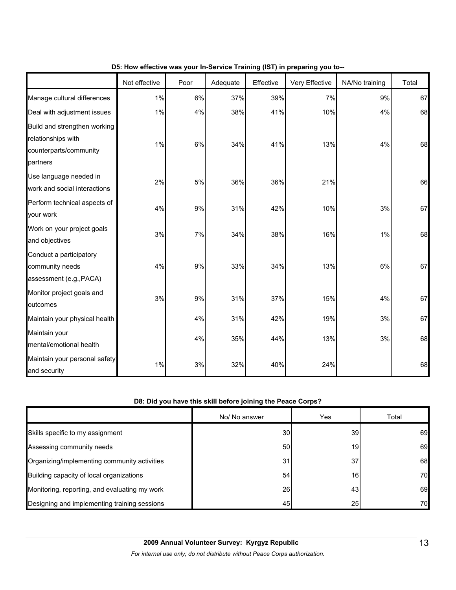|                                                                                          | Not effective | Poor  | Adequate | Effective | Very Effective | NA/No training | Total |
|------------------------------------------------------------------------------------------|---------------|-------|----------|-----------|----------------|----------------|-------|
| Manage cultural differences                                                              | 1%            | 6%    | 37%      | 39%       | 7%             | 9%             | 67    |
| Deal with adjustment issues                                                              | 1%            | 4%    | 38%      | 41%       | 10%            | 4%             | 68    |
| Build and strengthen working<br>relationships with<br>counterparts/community<br>partners | 1%            | 6%    | 34%      | 41%       | 13%            | 4%             | 68    |
| Use language needed in<br>work and social interactions                                   | 2%            | 5%    | 36%      | 36%       | 21%            |                | 66    |
| Perform technical aspects of<br>your work                                                | 4%            | 9%    | 31%      | 42%       | 10%            | 3%             | 67    |
| Work on your project goals<br>and objectives                                             | 3%            | 7%    | 34%      | 38%       | 16%            | $1\%$          | 68    |
| Conduct a participatory<br>community needs<br>assessment (e.g., PACA)                    | 4%            | $9\%$ | 33%      | 34%       | 13%            | 6%             | 67    |
| Monitor project goals and<br>outcomes                                                    | 3%            | 9%    | 31%      | 37%       | 15%            | 4%             | 67    |
| Maintain your physical health                                                            |               | 4%    | 31%      | 42%       | 19%            | 3%             | 67    |
| Maintain your<br>mental/emotional health                                                 |               | 4%    | 35%      | 44%       | 13%            | 3%             | 68    |
| Maintain your personal safety<br>and security                                            | 1%            | $3%$  | 32%      | 40%       | 24%            |                | 68    |

## **D5: How effective was your In-Service Training (IST) in preparing you to--**

## **D8: Did you have this skill before joining the Peace Corps?**

|                                               | No/ No answer | Yes             | Total |
|-----------------------------------------------|---------------|-----------------|-------|
| Skills specific to my assignment              | 30            | 39 <sub>l</sub> | 69    |
| Assessing community needs                     | 50            | 19 <sup>l</sup> | 69    |
| Organizing/implementing community activities  | 31            | 37              | 68    |
| Building capacity of local organizations      | 54            | 161             | 70    |
| Monitoring, reporting, and evaluating my work | 26            | 43              | 69    |
| Designing and implementing training sessions  | 45            | 25              | 70    |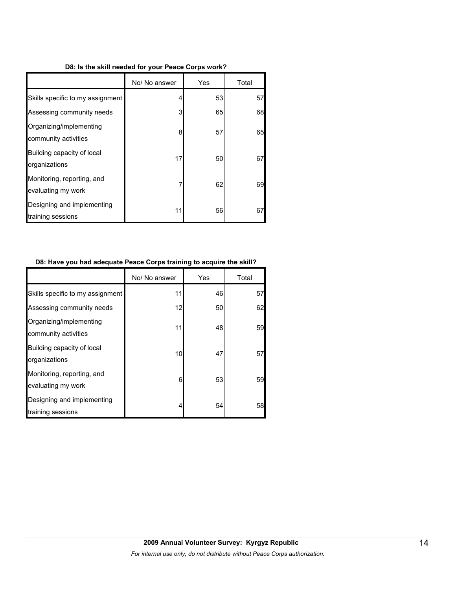#### **D8: Is the skill needed for your Peace Corps work?**

|                                                  | No/ No answer | Yes | Total |
|--------------------------------------------------|---------------|-----|-------|
| Skills specific to my assignment                 | 4             | 53  | 57    |
| Assessing community needs                        | 3             | 65  | 68    |
| Organizing/implementing<br>community activities  | 8             | 57  | 65    |
| Building capacity of local<br>organizations      | 17            | 50  | 67    |
| Monitoring, reporting, and<br>evaluating my work | 7             | 62  | 69    |
| Designing and implementing<br>training sessions  | 11            | 56  | 67    |

#### **D8: Have you had adequate Peace Corps training to acquire the skill?**

|                                                  | No/ No answer | Yes | Total |
|--------------------------------------------------|---------------|-----|-------|
| Skills specific to my assignment                 | 11            | 46  | 57    |
| Assessing community needs                        | 12            | 50  | 62    |
| Organizing/implementing<br>community activities  | 11            | 48  | 59    |
| Building capacity of local<br>organizations      | 10            | 47  | 57    |
| Monitoring, reporting, and<br>evaluating my work | 6             | 53  | 59    |
| Designing and implementing<br>training sessions  | 4             | 54  | 58    |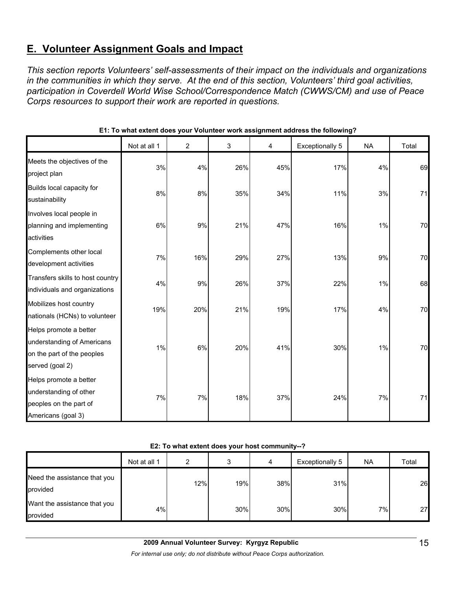# **E. Volunteer Assignment Goals and Impact**

*This section reports Volunteers' self-assessments of their impact on the individuals and organizations in the communities in which they serve. At the end of this section, Volunteers' third goal activities, participation in Coverdell World Wise School/Correspondence Match (CWWS/CM) and use of Peace Corps resources to support their work are reported in questions.* 

|                                                                                                       | Not at all 1 | 2   | 3   | 4   | <b>Exceptionally 5</b> | <b>NA</b> | Total |
|-------------------------------------------------------------------------------------------------------|--------------|-----|-----|-----|------------------------|-----------|-------|
| Meets the objectives of the<br>project plan                                                           | 3%           | 4%  | 26% | 45% | 17%                    | 4%        | 69    |
| Builds local capacity for<br>sustainability                                                           | 8%           | 8%  | 35% | 34% | 11%                    | 3%        | 71    |
| Involves local people in<br>planning and implementing<br>activities                                   | 6%           | 9%  | 21% | 47% | 16%                    | 1%        | 70    |
| Complements other local<br>development activities                                                     | 7%           | 16% | 29% | 27% | 13%                    | 9%        | 70    |
| Transfers skills to host country<br>individuals and organizations                                     | 4%           | 9%  | 26% | 37% | 22%                    | 1%        | 68    |
| Mobilizes host country<br>nationals (HCNs) to volunteer                                               | 19%          | 20% | 21% | 19% | 17%                    | 4%        | 70    |
| Helps promote a better<br>understanding of Americans<br>on the part of the peoples<br>served (goal 2) | 1%           | 6%  | 20% | 41% | 30%                    | 1%        | 70    |
| Helps promote a better<br>understanding of other<br>peoples on the part of<br>Americans (goal 3)      | 7%           | 7%  | 18% | 37% | 24%                    | 7%        | 71    |

### **E1: To what extent does your Volunteer work assignment address the following?**

#### **E2: To what extent does your host community--?**

|                                          | Not at all 1 | ົ   | ົ   | 4   | Exceptionally 5 | <b>NA</b> | Total |
|------------------------------------------|--------------|-----|-----|-----|-----------------|-----------|-------|
| Need the assistance that you<br>provided |              | 12% | 19% | 38% | 31%             |           | 26    |
| Want the assistance that you<br>provided | 4%           |     | 30% | 30% | 30%             | $7\%$     | 27    |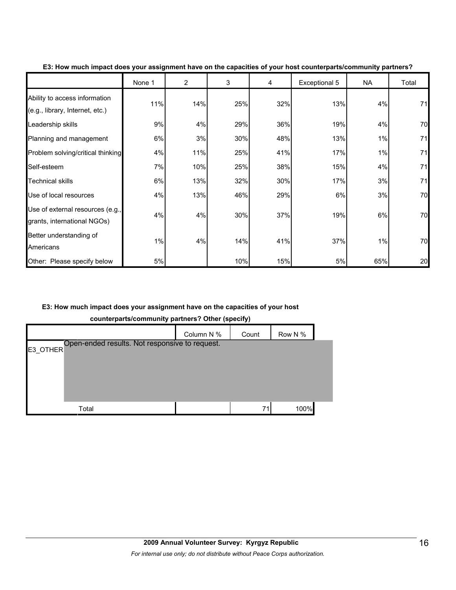|                                                                  | None 1 | $\overline{2}$ | 3   | 4   | Exceptional 5 | NA  | Total |
|------------------------------------------------------------------|--------|----------------|-----|-----|---------------|-----|-------|
| Ability to access information<br>(e.g., library, Internet, etc.) | 11%    | 14%            | 25% | 32% | 13%           | 4%  | 71    |
| Leadership skills                                                | 9%     | 4%             | 29% | 36% | 19%           | 4%  | 70    |
| Planning and management                                          | 6%     | 3%             | 30% | 48% | 13%           | 1%  | 71    |
| Problem solving/critical thinking                                | 4%     | 11%            | 25% | 41% | 17%           | 1%  | 71    |
| Self-esteem                                                      | 7%     | 10%            | 25% | 38% | 15%           | 4%  | 71    |
| <b>Technical skills</b>                                          | 6%     | 13%            | 32% | 30% | 17%           | 3%  | 71    |
| Use of local resources                                           | 4%     | 13%            | 46% | 29% | 6%            | 3%  | 70    |
| Use of external resources (e.g.,<br>grants, international NGOs)  | 4%     | 4%             | 30% | 37% | 19%           | 6%  | 70    |
| Better understanding of<br>Americans                             | 1%     | 4%             | 14% | 41% | 37%           | 1%  | 70    |
| Other: Please specify below                                      | 5%     |                | 10% | 15% | 5%            | 65% | 20    |

**E3: How much impact does your assignment have on the capacities of your host counterparts/community partners?**

## **E3: How much impact does your assignment have on the capacities of your host**

**counterparts/community partners? Other (specify)**

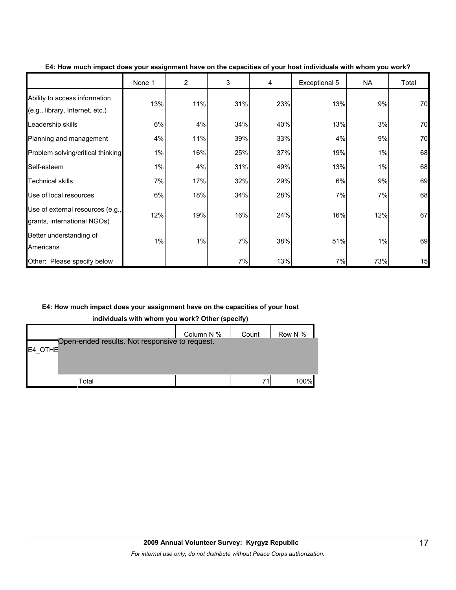|                                                                  | None 1 | $\overline{2}$ | 3   | 4   | Exceptional 5 | NA  | Total |
|------------------------------------------------------------------|--------|----------------|-----|-----|---------------|-----|-------|
| Ability to access information<br>(e.g., library, Internet, etc.) | 13%    | 11%            | 31% | 23% | 13%           | 9%  | 70    |
| Leadership skills                                                | 6%     | 4%             | 34% | 40% | 13%           | 3%  | 70    |
| Planning and management                                          | 4%     | 11%            | 39% | 33% | 4%            | 9%  | 70    |
| Problem solving/critical thinking                                | 1%     | 16%            | 25% | 37% | 19%           | 1%  | 68    |
| Self-esteem                                                      | 1%     | 4%             | 31% | 49% | 13%           | 1%  | 68    |
| <b>Technical skills</b>                                          | 7%     | 17%            | 32% | 29% | 6%            | 9%  | 69    |
| Use of local resources                                           | 6%     | 18%            | 34% | 28% | 7%            | 7%  | 68    |
| Use of external resources (e.g.,<br>grants, international NGOs)  | 12%    | 19%            | 16% | 24% | 16%           | 12% | 67    |
| Better understanding of<br>Americans                             | 1%     | 1%             | 7%  | 38% | 51%           | 1%  | 69    |
| Other: Please specify below                                      |        |                | 7%  | 13% | 7%            | 73% | 15    |

**E4: How much impact does your assignment have on the capacities of your host individuals with whom you work?**

## **E4: How much impact does your assignment have on the capacities of your host**

**individuals with whom you work? Other (specify)**

|                                                           | Column N % | Count | Row N $%$ $\blacksquare$ |
|-----------------------------------------------------------|------------|-------|--------------------------|
| Open-ended results. Not responsive to request.<br>E4 OTHE |            |       |                          |
|                                                           |            |       |                          |
|                                                           |            |       |                          |
| Total                                                     |            | 71    | 100%                     |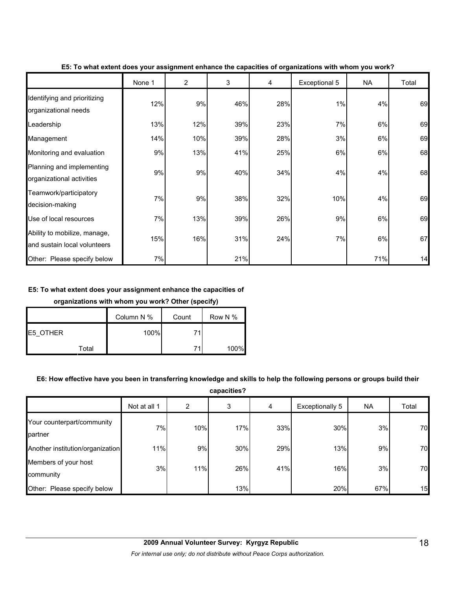|                                                              | None 1 | $\overline{2}$ | 3   | 4   | Exceptional 5 | <b>NA</b> | Total |
|--------------------------------------------------------------|--------|----------------|-----|-----|---------------|-----------|-------|
| Identifying and prioritizing<br>organizational needs         | 12%    | 9%             | 46% | 28% | 1%            | 4%        | 69    |
| Leadership                                                   | 13%    | 12%            | 39% | 23% | 7%            | 6%        | 69    |
| Management                                                   | 14%    | 10%            | 39% | 28% | 3%            | 6%        | 69    |
| Monitoring and evaluation                                    | 9%     | 13%            | 41% | 25% | 6%            | 6%        | 68    |
| Planning and implementing<br>organizational activities       | 9%     | 9%             | 40% | 34% | 4%            | 4%        | 68    |
| Teamwork/participatory<br>decision-making                    | 7%     | 9%             | 38% | 32% | 10%           | 4%        | 69    |
| Use of local resources                                       | 7%     | 13%            | 39% | 26% | 9%            | 6%        | 69    |
| Ability to mobilize, manage,<br>and sustain local volunteers | 15%    | 16%            | 31% | 24% | 7%            | 6%        | 67    |
| Other: Please specify below                                  | 7%     |                | 21% |     |               | 71%       | 14    |

**E5: To what extent does your assignment enhance the capacities of organizations with whom you work?**

#### **E5: To what extent does your assignment enhance the capacities of**

#### **organizations with whom you work? Other (specify)**

|                 | Column N % | Count | Row N % |
|-----------------|------------|-------|---------|
| <b>E5 OTHER</b> | 100%       |       |         |
| Total           |            |       | 100%    |

## **E6: How effective have you been in transferring knowledge and skills to help the following persons or groups build their**

**capacities?**

|                                       | Not at all 1 | 2   | 3   | 4   | Exceptionally 5 | NA  | Total |
|---------------------------------------|--------------|-----|-----|-----|-----------------|-----|-------|
| Your counterpart/community<br>partner | 7%           | 10% | 17% | 33% | 30%             | 3%  | 70    |
| Another institution/organization      | 11%          | 9%  | 30% | 29% | 13%             | 9%  | 70    |
| Members of your host<br>community     | 3%           | 11% | 26% | 41% | 16%             | 3%  | 70    |
| Other: Please specify below           |              |     | 13% |     | 20%             | 67% | 15    |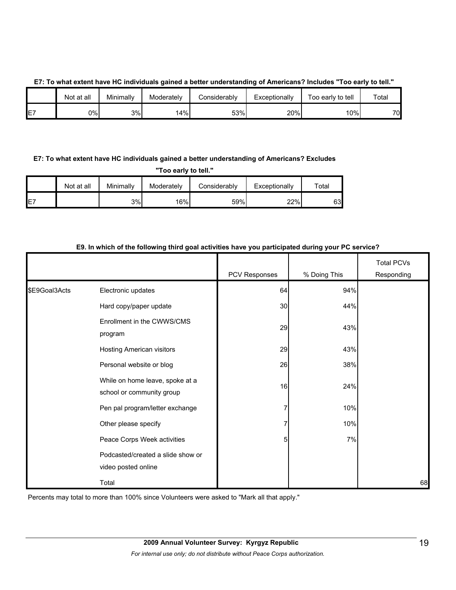|  |  |  | E7: To what extent have HC individuals gained a better understanding of Americans? Includes "Too early to tell." |  |
|--|--|--|------------------------------------------------------------------------------------------------------------------|--|
|  |  |  |                                                                                                                  |  |
|  |  |  |                                                                                                                  |  |

|                 | Not at all | Minimally | Moderatelv | Considerablv | Exceptionally | Too early to tell | Total |
|-----------------|------------|-----------|------------|--------------|---------------|-------------------|-------|
| $- -$<br>⊢<br>– | 0%l        | 3%        | 14%        | 53%          | 20%           | 10%               | 70.   |

## **E7: To what extent have HC individuals gained a better understanding of Americans? Excludes**

**"Too early to tell."**

|    | Not at all | Minimally | Moderately | Considerablv | Exceptionally | $\tau$ otal |
|----|------------|-----------|------------|--------------|---------------|-------------|
| E7 |            | 3%        | 16%        | 59%          | 22%           | 63          |

|               |                                                              | <b>PCV Responses</b> | % Doing This | <b>Total PCVs</b><br>Responding |
|---------------|--------------------------------------------------------------|----------------------|--------------|---------------------------------|
| \$E9Goal3Acts | Electronic updates                                           | 64                   | 94%          |                                 |
|               | Hard copy/paper update                                       | 30                   | 44%          |                                 |
|               | Enrollment in the CWWS/CMS<br>program                        | 29                   | 43%          |                                 |
|               | Hosting American visitors                                    | 29                   | 43%          |                                 |
|               | Personal website or blog                                     | 26                   | 38%          |                                 |
|               | While on home leave, spoke at a<br>school or community group | 16                   | 24%          |                                 |
|               | Pen pal program/letter exchange                              | 7                    | 10%          |                                 |
|               | Other please specify                                         | 7                    | 10%          |                                 |
|               | Peace Corps Week activities                                  | 5                    | 7%           |                                 |
|               | Podcasted/created a slide show or<br>video posted online     |                      |              |                                 |
|               | Total                                                        |                      |              | 68                              |

#### **E9. In which of the following third goal activities have you participated during your PC service?**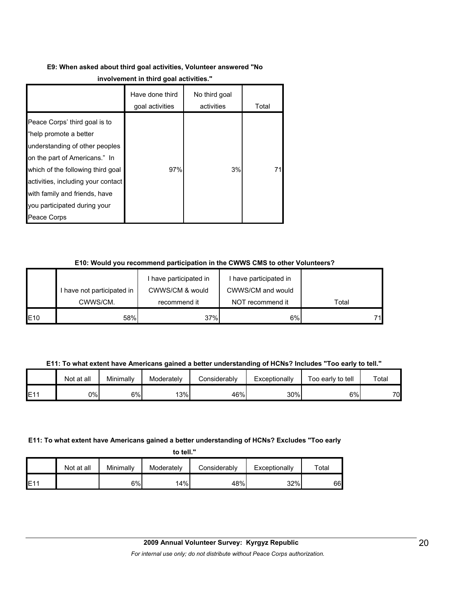# **E9: When asked about third goal activities, Volunteer answered "No**

|                                                                                                                                                                                                                                                                                       | Have done third<br>goal activities | No third goal<br>activities | Total |
|---------------------------------------------------------------------------------------------------------------------------------------------------------------------------------------------------------------------------------------------------------------------------------------|------------------------------------|-----------------------------|-------|
| Peace Corps' third goal is to<br>"help promote a better<br>understanding of other peoples<br>on the part of Americans." In<br>which of the following third goal<br>activities, including your contact<br>with family and friends, have<br>you participated during your<br>Peace Corps | 97%                                | 3%                          | 71    |

## **E10: Would you recommend participation in the CWWS CMS to other Volunteers?**

|     |                            | I have participated in | I have participated in |       |
|-----|----------------------------|------------------------|------------------------|-------|
|     | I have not participated in | CWWS/CM & would        | CWWS/CM and would      |       |
|     | CWWS/CM.                   | recommend it           | NOT recommend it       | Total |
| E10 | 58%                        | 37%                    | 6%                     | 71    |

**E11: To what extent have Americans gained a better understanding of HCNs? Includes "Too early to tell."**

|     | Not at all | Minimally | Moderately | Considerably | Exceptionally | Too early to tell | Total |
|-----|------------|-----------|------------|--------------|---------------|-------------------|-------|
| E11 | 0%         | 6%        | 13%        | 46%          | 30%           | 6%                | 70    |

## **E11: To what extent have Americans gained a better understanding of HCNs? Excludes "Too early**

**to tell."**

|             | Not at all | Minimally | Moderately | Considerablv | Exceptionally | $\tau$ otal |
|-------------|------------|-----------|------------|--------------|---------------|-------------|
| <b>IE11</b> |            | 6%        | 14%        | 48%          | 32%           | 66          |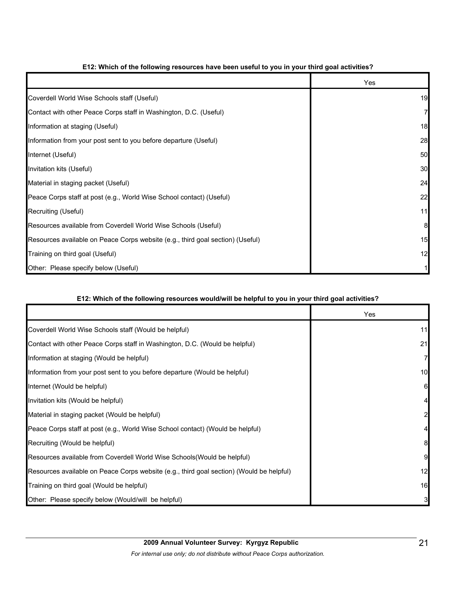|                                                                                | Yes |
|--------------------------------------------------------------------------------|-----|
| Coverdell World Wise Schools staff (Useful)                                    | 19  |
| Contact with other Peace Corps staff in Washington, D.C. (Useful)              | 7   |
| Information at staging (Useful)                                                | 18  |
| Information from your post sent to you before departure (Useful)               | 28  |
| Internet (Useful)                                                              | 50  |
| Invitation kits (Useful)                                                       | 30  |
| Material in staging packet (Useful)                                            | 24  |
| Peace Corps staff at post (e.g., World Wise School contact) (Useful)           | 22  |
| Recruiting (Useful)                                                            | 11  |
| Resources available from Coverdell World Wise Schools (Useful)                 | 8   |
| Resources available on Peace Corps website (e.g., third goal section) (Useful) | 15  |
| Training on third goal (Useful)                                                | 12  |
| Other: Please specify below (Useful)                                           |     |

## **E12: Which of the following resources have been useful to you in your third goal activities?**

## **E12: Which of the following resources would/will be helpful to you in your third goal activities?**

|                                                                                          | Yes |
|------------------------------------------------------------------------------------------|-----|
| Coverdell World Wise Schools staff (Would be helpful)                                    | 11  |
| Contact with other Peace Corps staff in Washington, D.C. (Would be helpful)              | 21  |
| Information at staging (Would be helpful)                                                |     |
| Information from your post sent to you before departure (Would be helpful)               | 10  |
| Internet (Would be helpful)                                                              | 61  |
| Invitation kits (Would be helpful)                                                       |     |
| Material in staging packet (Would be helpful)                                            |     |
| Peace Corps staff at post (e.g., World Wise School contact) (Would be helpful)           |     |
| Recruiting (Would be helpful)                                                            |     |
| Resources available from Coverdell World Wise Schools (Would be helpful)                 | 9   |
| Resources available on Peace Corps website (e.g., third goal section) (Would be helpful) | 12  |
| Training on third goal (Would be helpful)                                                | 16  |
| Other: Please specify below (Would/will be helpful)                                      |     |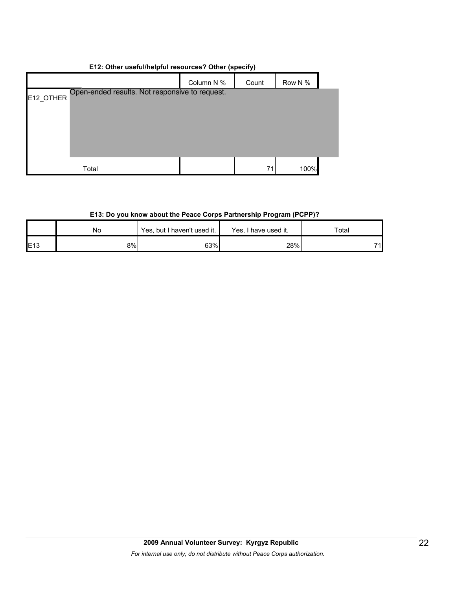## **E12: Other useful/helpful resources? Other (specify)**

|                                                             | Column N % | Count | Row N % |  |
|-------------------------------------------------------------|------------|-------|---------|--|
| Open-ended results. Not responsive to request.<br>E12_OTHER |            |       |         |  |
|                                                             |            |       |         |  |
|                                                             |            |       |         |  |
|                                                             |            |       |         |  |
|                                                             |            |       |         |  |
| Total                                                       |            | 71    | 100%    |  |

## **E13: Do you know about the Peace Corps Partnership Program (PCPP)?**

|     | No  | Yes, but I haven't used it. | Yes. I<br>I have used it. | ⊤otal |  |
|-----|-----|-----------------------------|---------------------------|-------|--|
| E13 | 8%l | 63%                         | 28%                       | 71    |  |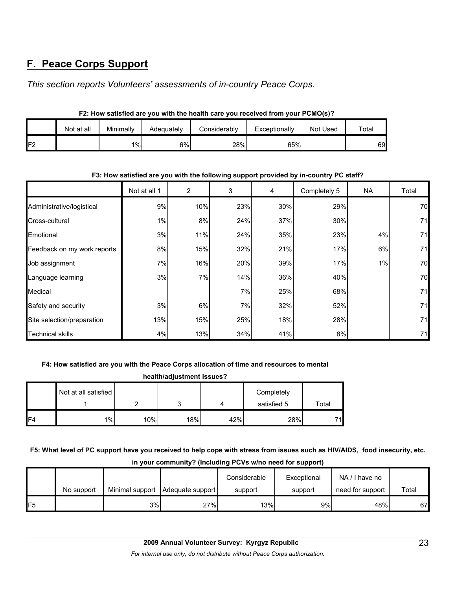# **F. Peace Corps Support**

*This section reports Volunteers' assessments of in-country Peace Corps.* 

|    |            |           |            | . =: v vullou u.v ; vu !!!!!! liiv !!vulli! vul v ; vu ! vvoltou !! v!!! ; vul !   *  v v; ! |               |          |             |
|----|------------|-----------|------------|----------------------------------------------------------------------------------------------|---------------|----------|-------------|
|    | Not at all | Minimally | Adeauatelv | Considerably                                                                                 | Exceptionally | Not Used | $\tau$ otal |
| 口つ |            | $1\%$     | 6%         | 28%                                                                                          | 65%           |          | 69          |

## **F2: How satisfied are you with the health care you received from your PCMO(s)?**

#### **F3: How satisfied are you with the following support provided by in-country PC staff?**

|                             | Not at all 1 | $\overline{2}$ | 3   | 4   | Completely 5 | NA. | Total |
|-----------------------------|--------------|----------------|-----|-----|--------------|-----|-------|
| Administrative/logistical   | 9%           | 10%            | 23% | 30% | 29%          |     | 70    |
| Cross-cultural              | 1%           | 8%             | 24% | 37% | 30%          |     | 71    |
| Emotional                   | 3%           | 11%            | 24% | 35% | 23%          | 4%  | 71    |
| Feedback on my work reports | 8%           | 15%            | 32% | 21% | 17%          | 6%  | 71    |
| Job assignment              | 7%           | 16%            | 20% | 39% | 17%          | 1%  | 70    |
| Language learning           | 3%           | 7%             | 14% | 36% | 40%          |     | 70    |
| Medical                     |              |                | 7%  | 25% | 68%          |     | 71    |
| Safety and security         | 3%           | 6%             | 7%  | 32% | 52%          |     | 71    |
| Site selection/preparation  | 13%          | 15%            | 25% | 18% | 28%          |     | 71    |
| <b>Technical skills</b>     | 4%           | 13%            | 34% | 41% | 8%           |     | 71    |

## **F4: How satisfied are you with the Peace Corps allocation of time and resources to mental**

| health/adjustment issues? |                      |        |     |     |                           |       |  |  |
|---------------------------|----------------------|--------|-----|-----|---------------------------|-------|--|--|
|                           | Not at all satisfied | ົ<br>ີ |     | 4   | Completely<br>satisfied 5 | Total |  |  |
| F <sub>4</sub>            | $1\%$                | 10%    | 18% | 42% | 28%                       | 71.   |  |  |

**F5: What level of PC support have you received to help cope with stress from issues such as HIV/AIDS, food insecurity, etc. in your community? (Including PCVs w/no need for support)**

|     |            |                 |                  | Considerable | Exceptional | NA/I have no     |       |
|-----|------------|-----------------|------------------|--------------|-------------|------------------|-------|
|     | No support | Minimal support | Adequate support | support      | support     | need for support | Total |
| IF5 |            | 3%              | 27%              | 13%          | 9%          | 48%              | 67    |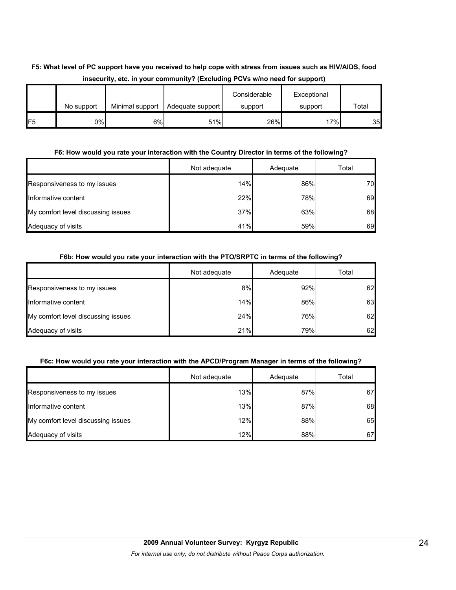## **F5: What level of PC support have you received to help cope with stress from issues such as HIV/AIDS, food insecurity, etc. in your community? (Excluding PCVs w/no need for support)**

|                 | No support | Minimal support | Adequate support | Considerable<br>support | Exceptional<br>support | Total |
|-----------------|------------|-----------------|------------------|-------------------------|------------------------|-------|
| IF <sub>5</sub> | 0%         | 6%              | 51%              | 26%                     | 17%                    | 35    |

## **F6: How would you rate your interaction with the Country Director in terms of the following?**

|                                    | Not adequate | Adequate | Total |
|------------------------------------|--------------|----------|-------|
| Responsiveness to my issues        | 14%          | 86%      | 70    |
| Informative content                | 22%          | 78%      | 69    |
| My comfort level discussing issues | 37%          | 63%      | 68    |
| Adequacy of visits                 | 41%          | 59%      | 69    |

## **F6b: How would you rate your interaction with the PTO/SRPTC in terms of the following?**

|                                    | Not adequate | Adequate | Total |
|------------------------------------|--------------|----------|-------|
| Responsiveness to my issues        | 8%           | 92%      | 62    |
| Informative content                | 14%          | 86%      | 63    |
| My comfort level discussing issues | 24%          | 76%      | 62    |
| Adequacy of visits                 | 21%          | 79%      | 62    |

## **F6c: How would you rate your interaction with the APCD/Program Manager in terms of the following?**

|                                    | Not adequate | Adequate | Total |
|------------------------------------|--------------|----------|-------|
| Responsiveness to my issues        | 13%          | 87%      | 67    |
| Informative content                | 13%          | 87%      | 68    |
| My comfort level discussing issues | 12%          | 88%      | 65    |
| Adequacy of visits                 | 12%          | 88%      | 67    |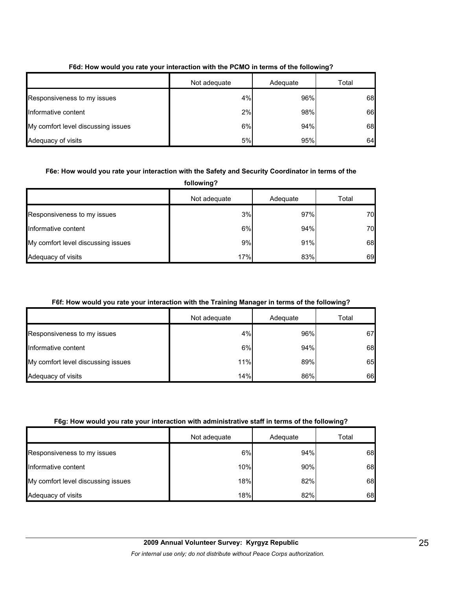|                                    | Not adequate | Adequate | Total |
|------------------------------------|--------------|----------|-------|
| Responsiveness to my issues        | 4%           | 96%      | 68    |
| Informative content                | 2%           | 98%      | 66    |
| My comfort level discussing issues | 6%           | 94%      | 68    |
| Adequacy of visits                 | 5%           | 95%      | 64    |

## **F6d: How would you rate your interaction with the PCMO in terms of the following?**

## **F6e: How would you rate your interaction with the Safety and Security Coordinator in terms of the**

**following?**

|                                    | Not adequate | Adequate | Total |
|------------------------------------|--------------|----------|-------|
| Responsiveness to my issues        | 3%           | 97%      | 70    |
| Informative content                | 6%           | 94%      | 70    |
| My comfort level discussing issues | 9%           | 91%      | 68    |
| Adequacy of visits                 | 17%          | 83%      | 69    |

## **F6f: How would you rate your interaction with the Training Manager in terms of the following?**

|                                    | Not adequate | Adequate | Total |
|------------------------------------|--------------|----------|-------|
| Responsiveness to my issues        | 4%           | 96%      | 67    |
| Informative content                | 6%           | 94%      | 68    |
| My comfort level discussing issues | 11%          | 89%      | 65    |
| Adequacy of visits                 | 14%          | 86%      | 66    |

#### **F6g: How would you rate your interaction with administrative staff in terms of the following?**

|                                    | Not adequate | Adequate | Total |
|------------------------------------|--------------|----------|-------|
| Responsiveness to my issues        | 6%           | 94%      | 68    |
| Informative content                | 10%          | 90%      | 68    |
| My comfort level discussing issues | 18%          | 82%      | 68    |
| Adequacy of visits                 | 18%          | 82%      | 68    |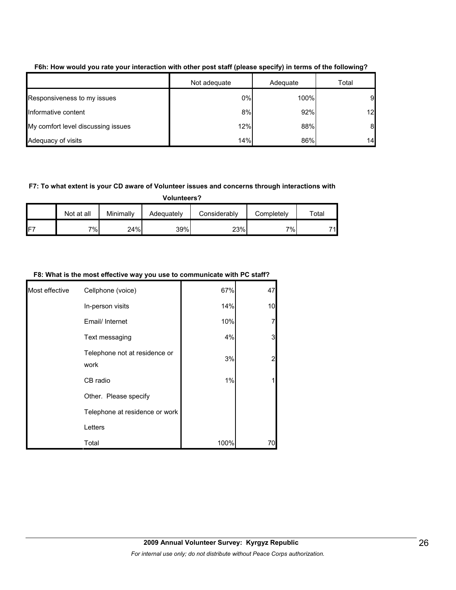|                                    |              | . .      | -     |
|------------------------------------|--------------|----------|-------|
|                                    | Not adequate | Adequate | Total |
| Responsiveness to my issues        | 0%           | 100%     | 9     |
| Informative content                | 8%           | 92%      | 12    |
| My comfort level discussing issues | 12%          | 88%      | 8     |
| Adequacy of visits                 | 14%          | 86%      | 14    |

**F6h: How would you rate your interaction with other post staff (please specify) in terms of the following?**

#### **F7: To what extent is your CD aware of Volunteer issues and concerns through interactions with**

**Volunteers?**

|     | Not at all | Minimally | Adequately | Considerablv | Completely | $\tau$ otal |
|-----|------------|-----------|------------|--------------|------------|-------------|
| IF7 | 7%         | 24%       | 39%        | 23%          | י (∂י      | 71          |

#### **F8: What is the most effective way you use to communicate with PC staff?**

| Most effective | Cellphone (voice)                     | 67%  | 47             |
|----------------|---------------------------------------|------|----------------|
|                | In-person visits                      | 14%  | 10             |
|                | Email/ Internet                       | 10%  | $\overline{7}$ |
|                | Text messaging                        | 4%   | 3              |
|                | Telephone not at residence or<br>work | 3%   | $\overline{2}$ |
|                | CB radio                              | 1%   | 1              |
|                | Other. Please specify                 |      |                |
|                | Telephone at residence or work        |      |                |
|                | Letters                               |      |                |
|                | Total                                 | 100% | 70             |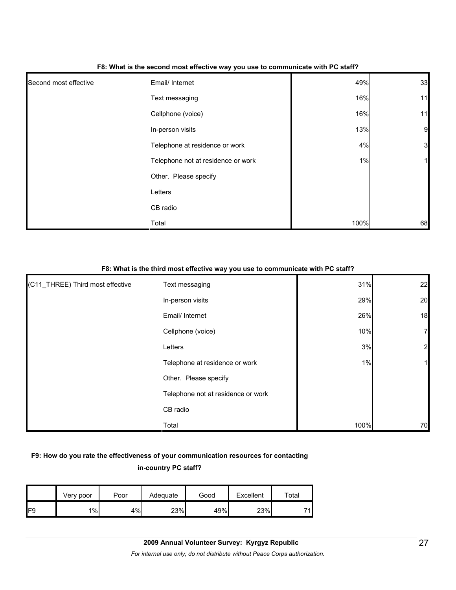| Second most effective | Email/ Internet                    | 49%  | 33             |
|-----------------------|------------------------------------|------|----------------|
|                       | Text messaging                     | 16%  | 11             |
|                       | Cellphone (voice)                  | 16%  | 11             |
|                       | In-person visits                   | 13%  | $\overline{9}$ |
|                       | Telephone at residence or work     | 4%   | 3              |
|                       | Telephone not at residence or work | 1%   | 1              |
|                       | Other. Please specify              |      |                |
|                       | Letters                            |      |                |
|                       | CB radio                           |      |                |
|                       | Total                              | 100% | 68             |

#### **F8: What is the second most effective way you use to communicate with PC staff?**

#### **F8: What is the third most effective way you use to communicate with PC staff?**

| (C11_THREE) Third most effective | Text messaging                     | 31%  | 22             |
|----------------------------------|------------------------------------|------|----------------|
|                                  | In-person visits                   | 29%  | 20             |
|                                  | Email/ Internet                    | 26%  | 18             |
|                                  | Cellphone (voice)                  | 10%  | $\overline{7}$ |
|                                  | Letters                            | 3%   | $\overline{2}$ |
|                                  | Telephone at residence or work     | 1%   |                |
|                                  | Other. Please specify              |      |                |
|                                  | Telephone not at residence or work |      |                |
|                                  | CB radio                           |      |                |
|                                  | Total                              | 100% | 70             |

## **F9: How do you rate the effectiveness of your communication resources for contacting in-country PC staff?**

|     | Very poor | Poor | Adequate | Good | Excellent | ™ota⊩ |
|-----|-----------|------|----------|------|-----------|-------|
| IF9 | $1\%$     | 4%   | 23%      | 49%  | 23%       | 74    |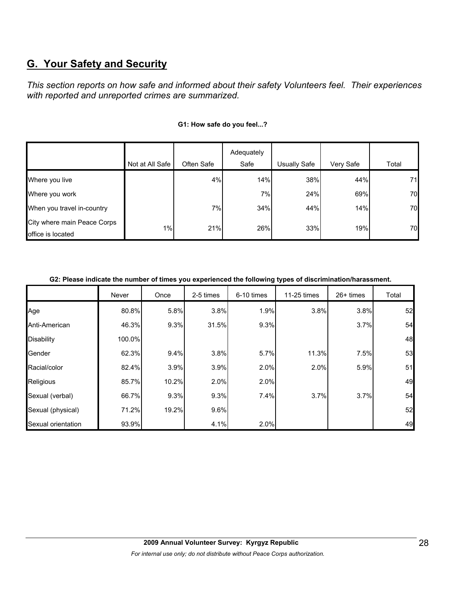# **G. Your Safety and Security**

*This section reports on how safe and informed about their safety Volunteers feel. Their experiences with reported and unreported crimes are summarized.* 

|                                                  | Not at All Safe | Often Safe | Adequately<br>Safe | Usually Safe | Very Safe | Total |
|--------------------------------------------------|-----------------|------------|--------------------|--------------|-----------|-------|
| Where you live                                   |                 | 4%         | 14%                | 38%          | 44%       | 71    |
| Where you work                                   |                 |            | 7%                 | 24%          | 69%       | 70    |
| When you travel in-country                       |                 | 7%         | 34%                | 44%          | 14%       | 70    |
| City where main Peace Corps<br>office is located | 1%              | 21%        | 26%                | 33%          | 19%       | 70    |

#### **G1: How safe do you feel...?**

**G2: Please indicate the number of times you experienced the following types of discrimination/harassment.**

|                    | Never  | Once  | 2-5 times | 6-10 times | 11-25 times | $26+$ times | Total |
|--------------------|--------|-------|-----------|------------|-------------|-------------|-------|
| Age                | 80.8%  | 5.8%  | 3.8%      | 1.9%       | 3.8%        | 3.8%        | 52    |
| Anti-American      | 46.3%  | 9.3%  | 31.5%     | 9.3%       |             | 3.7%        | 54    |
| <b>Disability</b>  | 100.0% |       |           |            |             |             | 48    |
| Gender             | 62.3%  | 9.4%  | 3.8%      | 5.7%       | 11.3%       | 7.5%        | 53    |
| Racial/color       | 82.4%  | 3.9%  | 3.9%      | 2.0%       | 2.0%        | 5.9%        | 51    |
| Religious          | 85.7%  | 10.2% | 2.0%      | 2.0%       |             |             | 49    |
| Sexual (verbal)    | 66.7%  | 9.3%  | 9.3%      | 7.4%       | 3.7%        | 3.7%        | 54    |
| Sexual (physical)  | 71.2%  | 19.2% | 9.6%      |            |             |             | 52    |
| Sexual orientation | 93.9%  |       | 4.1%      | 2.0%       |             |             | 49    |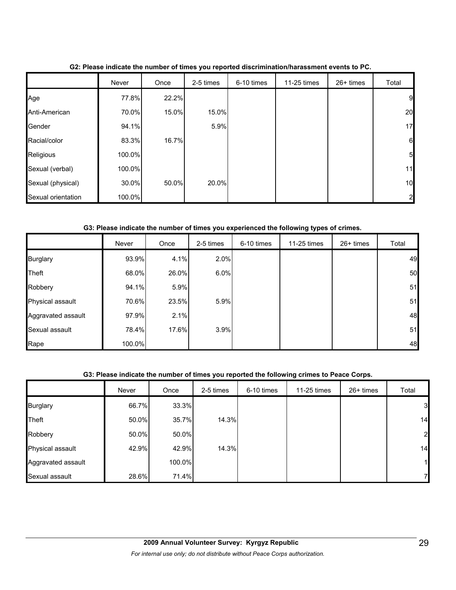|                    | Never  | Once  | 2-5 times | 6-10 times | 11-25 times | $26+$ times | Total          |
|--------------------|--------|-------|-----------|------------|-------------|-------------|----------------|
| Age                | 77.8%  | 22.2% |           |            |             |             | 9              |
| Anti-American      | 70.0%  | 15.0% | 15.0%     |            |             |             | 20             |
| Gender             | 94.1%  |       | 5.9%      |            |             |             | 17             |
| Racial/color       | 83.3%  | 16.7% |           |            |             |             | 6              |
| Religious          | 100.0% |       |           |            |             |             | 5 <sub>l</sub> |
| Sexual (verbal)    | 100.0% |       |           |            |             |             | 11             |
| Sexual (physical)  | 30.0%  | 50.0% | 20.0%     |            |             |             | 10             |
| Sexual orientation | 100.0% |       |           |            |             |             | $\overline{2}$ |

**G2: Please indicate the number of times you reported discrimination/harassment events to PC.**

## **G3: Please indicate the number of times you experienced the following types of crimes.**

|                    | Never  | Once  | 2-5 times | 6-10 times | 11-25 times | $26+$ times | Total |
|--------------------|--------|-------|-----------|------------|-------------|-------------|-------|
| <b>Burglary</b>    | 93.9%  | 4.1%  | 2.0%      |            |             |             | 49    |
| <b>Theft</b>       | 68.0%  | 26.0% | 6.0%      |            |             |             | 50    |
| Robbery            | 94.1%  | 5.9%  |           |            |             |             | 51    |
| Physical assault   | 70.6%  | 23.5% | 5.9%      |            |             |             | 51    |
| Aggravated assault | 97.9%  | 2.1%  |           |            |             |             | 48    |
| Sexual assault     | 78.4%  | 17.6% | 3.9%      |            |             |             | 51    |
| Rape               | 100.0% |       |           |            |             |             | 48    |

## **G3: Please indicate the number of times you reported the following crimes to Peace Corps.**

|                    | Never | Once   | 2-5 times | 6-10 times | 11-25 times | 26+ times | Total |
|--------------------|-------|--------|-----------|------------|-------------|-----------|-------|
| <b>Burglary</b>    | 66.7% | 33.3%  |           |            |             |           | 3     |
| <b>Theft</b>       | 50.0% | 35.7%  | 14.3%     |            |             |           | 14    |
| Robbery            | 50.0% | 50.0%  |           |            |             |           | 2     |
| Physical assault   | 42.9% | 42.9%  | 14.3%     |            |             |           | 14    |
| Aggravated assault |       | 100.0% |           |            |             |           | 11    |
| Sexual assault     | 28.6% | 71.4%  |           |            |             |           | 7     |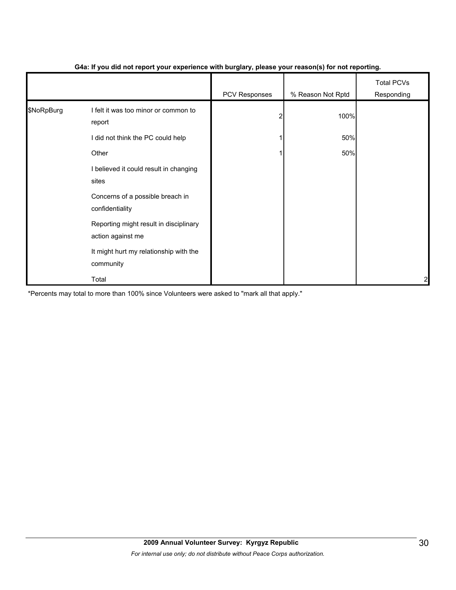|            |                                                             | PCV Responses | % Reason Not Rptd | <b>Total PCVs</b><br>Responding |
|------------|-------------------------------------------------------------|---------------|-------------------|---------------------------------|
| \$NoRpBurg | I felt it was too minor or common to<br>report              |               | 100%              |                                 |
|            | I did not think the PC could help                           |               | 50%               |                                 |
|            | Other                                                       |               | 50%               |                                 |
|            | I believed it could result in changing<br>sites             |               |                   |                                 |
|            | Concerns of a possible breach in<br>confidentiality         |               |                   |                                 |
|            | Reporting might result in disciplinary<br>action against me |               |                   |                                 |
|            | It might hurt my relationship with the<br>community         |               |                   |                                 |
|            | Total                                                       |               |                   | 2                               |

## **G4a: If you did not report your experience with burglary, please your reason(s) for not reporting.**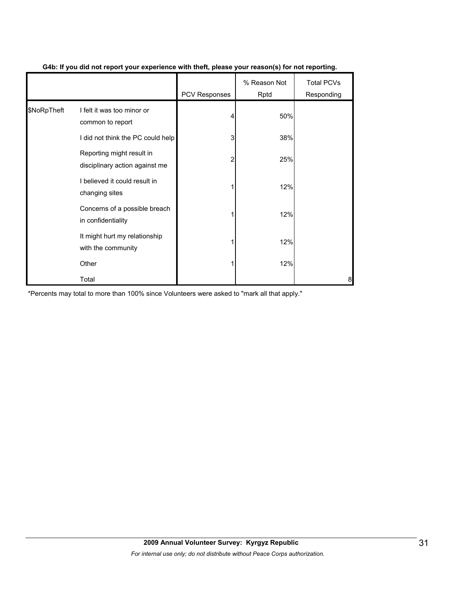|             |                                                             | PCV Responses | % Reason Not<br>Rptd | <b>Total PCVs</b><br>Responding |
|-------------|-------------------------------------------------------------|---------------|----------------------|---------------------------------|
| \$NoRpTheft | I felt it was too minor or<br>common to report              |               | 50%                  |                                 |
|             | I did not think the PC could help                           | 3             | 38%                  |                                 |
|             | Reporting might result in<br>disciplinary action against me | 2             | 25%                  |                                 |
|             | I believed it could result in<br>changing sites             |               | 12%                  |                                 |
|             | Concerns of a possible breach<br>in confidentiality         |               | 12%                  |                                 |
|             | It might hurt my relationship<br>with the community         |               | 12%                  |                                 |
|             | Other                                                       |               | 12%                  |                                 |
|             | Total                                                       |               |                      | 8                               |

## **G4b: If you did not report your experience with theft, please your reason(s) for not reporting.**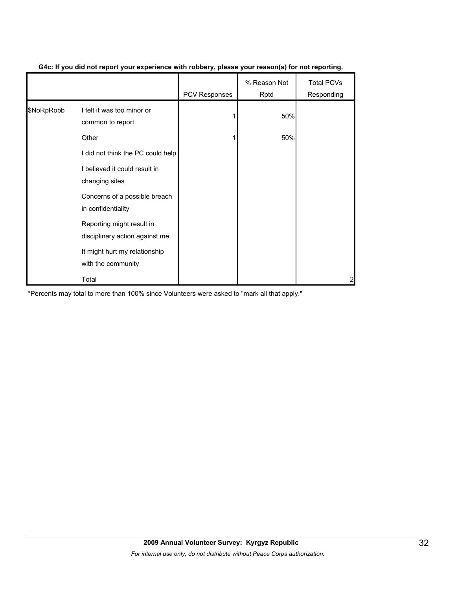|            |                                                             | <b>PCV Responses</b> | % Reason Not<br>Rptd | <b>Total PCVs</b><br>Responding |
|------------|-------------------------------------------------------------|----------------------|----------------------|---------------------------------|
| \$NoRpRobb | I felt it was too minor or<br>common to report              |                      | 50%                  |                                 |
|            | Other                                                       |                      | 50%                  |                                 |
|            | I did not think the PC could help                           |                      |                      |                                 |
|            | I believed it could result in<br>changing sites             |                      |                      |                                 |
|            | Concerns of a possible breach<br>in confidentiality         |                      |                      |                                 |
|            | Reporting might result in<br>disciplinary action against me |                      |                      |                                 |
|            | It might hurt my relationship<br>with the community         |                      |                      |                                 |
|            | Total                                                       |                      |                      | 2                               |

### **G4c: If you did not report your experience with robbery, please your reason(s) for not reporting.**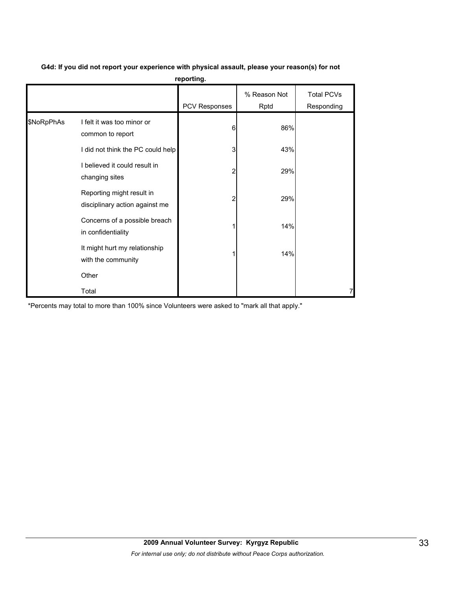|            |                                                             | pg.           |                      |                                 |
|------------|-------------------------------------------------------------|---------------|----------------------|---------------------------------|
|            |                                                             | PCV Responses | % Reason Not<br>Rptd | <b>Total PCVs</b><br>Responding |
| \$NoRpPhAs | I felt it was too minor or<br>common to report              | 6             | 86%                  |                                 |
|            | I did not think the PC could help                           | 3             | 43%                  |                                 |
|            | I believed it could result in<br>changing sites             |               | 29%                  |                                 |
|            | Reporting might result in<br>disciplinary action against me | 2             | 29%                  |                                 |
|            | Concerns of a possible breach<br>in confidentiality         |               | 14%                  |                                 |
|            | It might hurt my relationship<br>with the community         |               | 14%                  |                                 |
|            | Other                                                       |               |                      |                                 |
|            | Total                                                       |               |                      |                                 |

**G4d: If you did not report your experience with physical assault, please your reason(s) for not reporting.**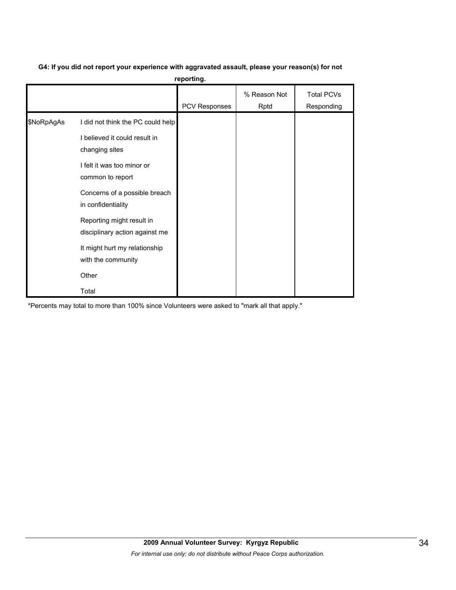# **G4: If you did not report your experience with aggravated assault, please your reason(s) for not**

**reporting.**

|            |                                                             | <b>PCV Responses</b> | % Reason Not<br>Rptd | <b>Total PCVs</b><br>Responding |
|------------|-------------------------------------------------------------|----------------------|----------------------|---------------------------------|
| \$NoRpAgAs | I did not think the PC could help                           |                      |                      |                                 |
|            | I believed it could result in<br>changing sites             |                      |                      |                                 |
|            | I felt it was too minor or<br>common to report              |                      |                      |                                 |
|            | Concerns of a possible breach<br>in confidentiality         |                      |                      |                                 |
|            | Reporting might result in<br>disciplinary action against me |                      |                      |                                 |
|            | It might hurt my relationship<br>with the community         |                      |                      |                                 |
|            | Other                                                       |                      |                      |                                 |
|            | Total                                                       |                      |                      |                                 |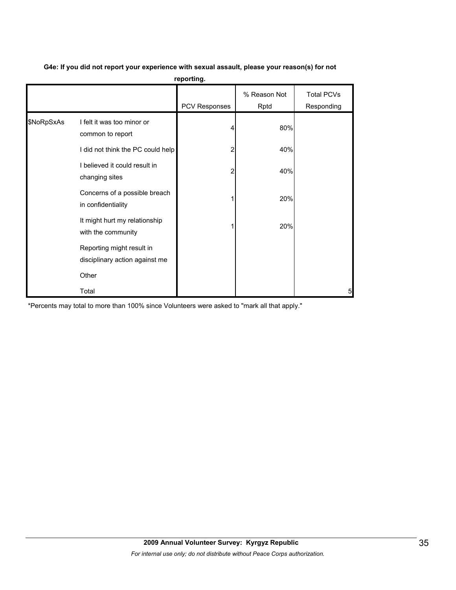|            |                                                             | reporting.    |                      |                                 |
|------------|-------------------------------------------------------------|---------------|----------------------|---------------------------------|
|            |                                                             | PCV Responses | % Reason Not<br>Rptd | <b>Total PCVs</b><br>Responding |
| \$NoRpSxAs | I felt it was too minor or<br>common to report              |               | 80%                  |                                 |
|            | I did not think the PC could help                           | 2             | 40%                  |                                 |
|            | I believed it could result in<br>changing sites             | 2             | 40%                  |                                 |
|            | Concerns of a possible breach<br>in confidentiality         |               | 20%                  |                                 |
|            | It might hurt my relationship<br>with the community         |               | 20%                  |                                 |
|            | Reporting might result in<br>disciplinary action against me |               |                      |                                 |
|            | Other                                                       |               |                      |                                 |
|            | Total                                                       |               |                      | 5                               |

## **G4e: If you did not report your experience with sexual assault, please your reason(s) for not**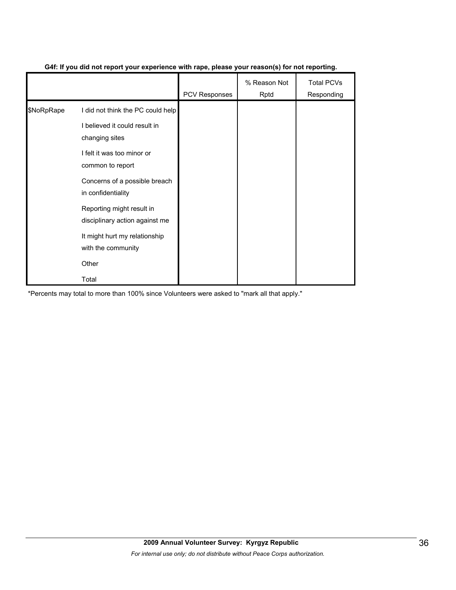|            |                                                             | <b>PCV Responses</b> | % Reason Not<br>Rptd | <b>Total PCVs</b><br>Responding |
|------------|-------------------------------------------------------------|----------------------|----------------------|---------------------------------|
| \$NoRpRape | I did not think the PC could help                           |                      |                      |                                 |
|            | I believed it could result in<br>changing sites             |                      |                      |                                 |
|            | I felt it was too minor or<br>common to report              |                      |                      |                                 |
|            | Concerns of a possible breach<br>in confidentiality         |                      |                      |                                 |
|            | Reporting might result in<br>disciplinary action against me |                      |                      |                                 |
|            | It might hurt my relationship<br>with the community         |                      |                      |                                 |
|            | Other                                                       |                      |                      |                                 |
|            | Total                                                       |                      |                      |                                 |

## **G4f: If you did not report your experience with rape, please your reason(s) for not reporting.**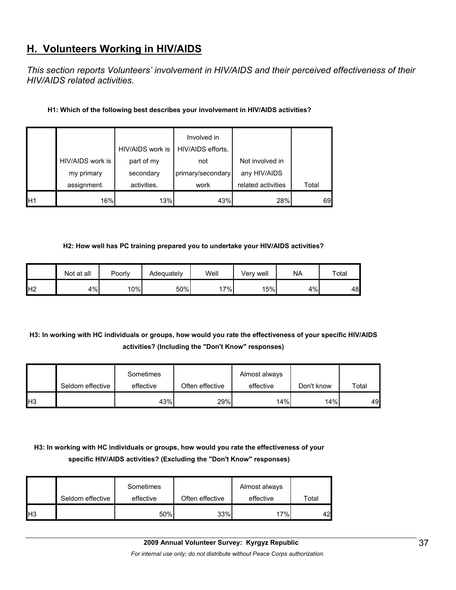# **H. Volunteers Working in HIV/AIDS**

*This section reports Volunteers' involvement in HIV/AIDS and their perceived effectiveness of their HIV/AIDS related activities.* 

## **H1: Which of the following best describes your involvement in HIV/AIDS activities?**

|                 |                  | HIV/AIDS work is | Involved in<br>HIV/AIDS efforts, |                    |       |
|-----------------|------------------|------------------|----------------------------------|--------------------|-------|
|                 | HIV/AIDS work is | part of my       | not                              | Not involved in    |       |
|                 | my primary       | secondary        | primary/secondary                | any HIV/AIDS       |       |
|                 | assignment.      | activities.      | work                             | related activities | Total |
| IH <sub>1</sub> | 16%              | 13%              | 43%                              | 28%                | 69    |

#### **H2: How well has PC training prepared you to undertake your HIV/AIDS activities?**

|                | Not at all | Poorly | Adequately | Well  | Verv well | <b>NA</b> | Total |
|----------------|------------|--------|------------|-------|-----------|-----------|-------|
| H <sub>2</sub> | 4%         | 10%    | 50%        | $7\%$ | 15%       | 4%        | 48    |

## **H3: In working with HC individuals or groups, how would you rate the effectiveness of your specific HIV/AIDS activities? (Including the "Don't Know" responses)**

|     | Seldom effective | Sometimes<br>effective | Often effective | Almost always<br>effective | Don't know | Total |
|-----|------------------|------------------------|-----------------|----------------------------|------------|-------|
| IH3 |                  | 43%                    | 29%             | 14%                        | 14%        | 49    |

## **H3: In working with HC individuals or groups, how would you rate the effectiveness of your specific HIV/AIDS activities? (Excluding the "Don't Know" responses)**

|                | Seldom effective | Sometimes<br>effective | Often effective | Almost always<br>effective | Total |
|----------------|------------------|------------------------|-----------------|----------------------------|-------|
| H <sub>3</sub> |                  | 50%                    | 33%             | 17%                        | 42    |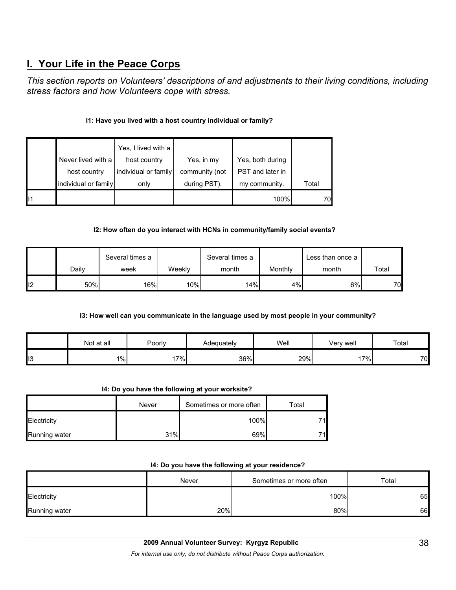# **I. Your Life in the Peace Corps**

*This section reports on Volunteers' descriptions of and adjustments to their living conditions, including stress factors and how Volunteers cope with stress.* 

## **I1: Have you lived with a host country individual or family?**

|                      | Yes, I lived with a  |                |                  |       |
|----------------------|----------------------|----------------|------------------|-------|
| Never lived with a   | host country         | Yes, in my     | Yes, both during |       |
| host country         | individual or family | community (not | PST and later in |       |
| individual or family | only                 | during PST).   | my community.    | Total |
|                      |                      |                | 100%             | 70    |

## **I2: How often do you interact with HCNs in community/family social events?**

|     |       | Several times a  |        | Several times a |         | Less than once a |       |
|-----|-------|------------------|--------|-----------------|---------|------------------|-------|
|     | Dailv | week             | Weekly | month           | Monthly | month            | Total |
| II2 | 50%   | 16% <sub>1</sub> | 10%    | 14%             | 4%      | 6%               | 70    |

## **I3: How well can you communicate in the language used by most people in your community?**

|     | Not at all | Poorly | Adeauatelv | Well | Very well | Total |
|-----|------------|--------|------------|------|-----------|-------|
| ll3 | $1\%$      | $17\%$ | 36%        | 29%  | $17\%$    | 70    |

## **I4: Do you have the following at your worksite?**

|                      | Never | Sometimes or more often | ™otal |
|----------------------|-------|-------------------------|-------|
| Electricity          |       | 100%                    | 711   |
| <b>Running water</b> | 31%   | 69%                     | 71I   |

#### **I4: Do you have the following at your residence?**

|               | Never | Sometimes or more often | Total |
|---------------|-------|-------------------------|-------|
| Electricity   |       | 100%                    | 65    |
| Running water | 20%   | 80%                     | 66    |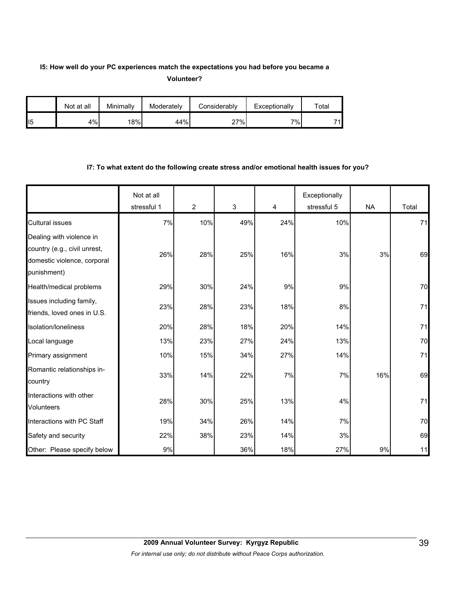## **I5: How well do your PC experiences match the expectations you had before you became a Volunteer?**

|                 | Not at all | Minimally | Moderately | Considerably | Exceptionally   | $\tau$ otal |
|-----------------|------------|-----------|------------|--------------|-----------------|-------------|
| II <sub>5</sub> | 4%         | 18%       | 44%        | 27%          | 7% <sub>I</sub> | 71          |

#### **I7: To what extent do the following create stress and/or emotional health issues for you?**

|                                                                            | Not at all<br>stressful 1 | $\overline{2}$ | 3   | 4   | Exceptionally<br>stressful 5 | <b>NA</b> | Total |
|----------------------------------------------------------------------------|---------------------------|----------------|-----|-----|------------------------------|-----------|-------|
| <b>Cultural issues</b>                                                     | 7%                        | 10%            | 49% | 24% | 10%                          |           | 71    |
| Dealing with violence in                                                   |                           |                |     |     |                              |           |       |
| country (e.g., civil unrest,<br>domestic violence, corporal<br>punishment) | 26%                       | 28%            | 25% | 16% | 3%                           | 3%        | 69    |
| Health/medical problems                                                    | 29%                       | 30%            | 24% | 9%  | 9%                           |           | 70    |
| Issues including family,<br>friends, loved ones in U.S.                    | 23%                       | 28%            | 23% | 18% | 8%                           |           | 71    |
| Isolation/loneliness                                                       | 20%                       | 28%            | 18% | 20% | 14%                          |           | 71    |
| Local language                                                             | 13%                       | 23%            | 27% | 24% | 13%                          |           | 70    |
| Primary assignment                                                         | 10%                       | 15%            | 34% | 27% | 14%                          |           | 71    |
| Romantic relationships in-<br>country                                      | 33%                       | 14%            | 22% | 7%  | 7%                           | 16%       | 69    |
| Interactions with other<br>Volunteers                                      | 28%                       | 30%            | 25% | 13% | 4%                           |           | 71    |
| Interactions with PC Staff                                                 | 19%                       | 34%            | 26% | 14% | 7%                           |           | 70    |
| Safety and security                                                        | 22%                       | 38%            | 23% | 14% | 3%                           |           | 69    |
| Other: Please specify below                                                | 9%                        |                | 36% | 18% | 27%                          | 9%        | 11    |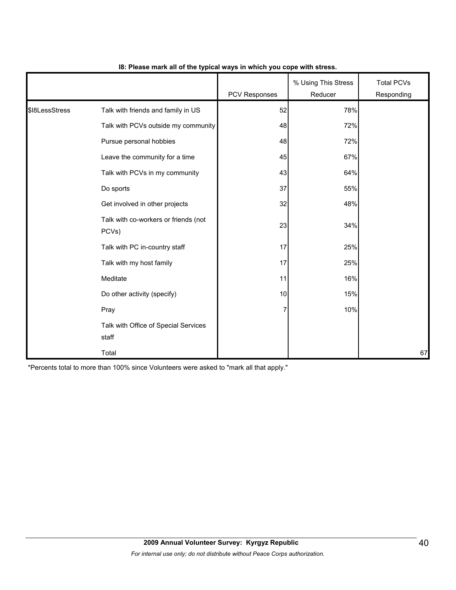|                |                                               | PCV Responses | % Using This Stress<br>Reducer | <b>Total PCVs</b><br>Responding |
|----------------|-----------------------------------------------|---------------|--------------------------------|---------------------------------|
| \$18LessStress | Talk with friends and family in US            | 52            | 78%                            |                                 |
|                | Talk with PCVs outside my community           | 48            | 72%                            |                                 |
|                | Pursue personal hobbies                       | 48            | 72%                            |                                 |
|                | Leave the community for a time                | 45            | 67%                            |                                 |
|                | Talk with PCVs in my community                | 43            | 64%                            |                                 |
|                | Do sports                                     | 37            | 55%                            |                                 |
|                | Get involved in other projects                | 32            | 48%                            |                                 |
|                | Talk with co-workers or friends (not<br>PCVs) | 23            | 34%                            |                                 |
|                | Talk with PC in-country staff                 | 17            | 25%                            |                                 |
|                | Talk with my host family                      | 17            | 25%                            |                                 |
|                | Meditate                                      | 11            | 16%                            |                                 |
|                | Do other activity (specify)                   | 10            | 15%                            |                                 |
|                | Pray                                          | 7             | 10%                            |                                 |
|                | Talk with Office of Special Services<br>staff |               |                                |                                 |
|                | Total                                         |               |                                | 67                              |

## **I8: Please mark all of the typical ways in which you cope with stress.**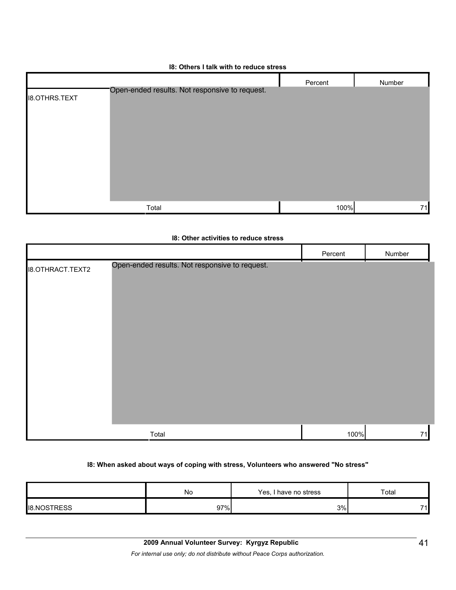#### **I8: Others I talk with to reduce stress**

|                      |                                                | Percent | Number |
|----------------------|------------------------------------------------|---------|--------|
| <b>I8.OTHRS.TEXT</b> | Open-ended results. Not responsive to request. |         |        |
|                      | Total                                          | 100%    | 71     |

|                         | 18: Other activities to reduce stress          |         |        |
|-------------------------|------------------------------------------------|---------|--------|
|                         |                                                | Percent | Number |
| <b>I8.OTHRACT.TEXT2</b> | Open-ended results. Not responsive to request. |         |        |
|                         | Total                                          | 100%    | 71     |

## **I8: When asked about ways of coping with stress, Volunteers who answered "No stress"**

|                 | N0  | Yes,<br>' have no stress | Total |
|-----------------|-----|--------------------------|-------|
| TDECC<br>II8.NC | 97% | 3%                       | 74    |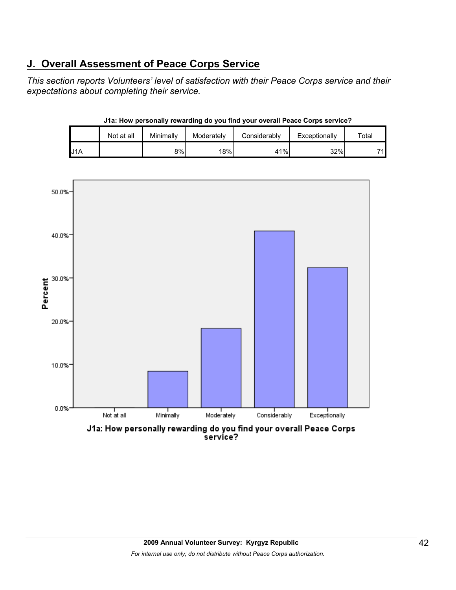# **J. Overall Assessment of Peace Corps Service**

*This section reports Volunteers' level of satisfaction with their Peace Corps service and their expectations about completing their service.* 

|      | J1a: How personally rewarding do you find your overall Peace Corps service? |           |            |              |               |             |  |  |  |  |
|------|-----------------------------------------------------------------------------|-----------|------------|--------------|---------------|-------------|--|--|--|--|
|      | Not at all                                                                  | Minimally | Moderately | Considerably | Exceptionally | Total       |  |  |  |  |
| IJ1A |                                                                             | 8%I       | 18%        | 41%          | 32%           | 71 <b>.</b> |  |  |  |  |



## **2009 Annual Volunteer Survey: Kyrgyz Republic**  *For internal use only; do not distribute without Peace Corps authorization.*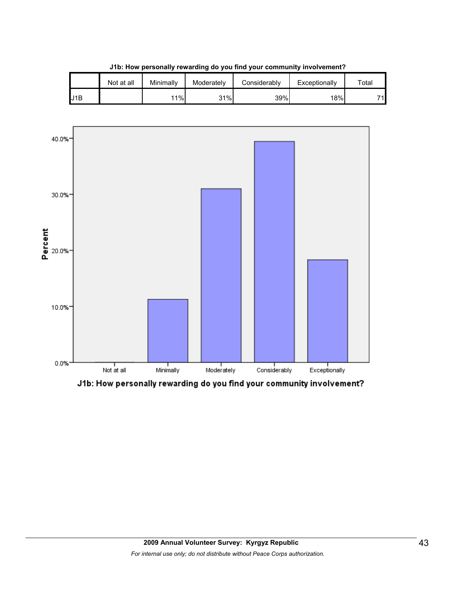|     | Not at all | Minimally | Moderately | Considerably | Exceptionally | $\tau$ otal |  |  |
|-----|------------|-----------|------------|--------------|---------------|-------------|--|--|
| J1B |            | 11%       | 31%        | 39%          | 18%           | 74          |  |  |

**J1b: How personally rewarding do you find your community involvement?**



J1b: How personally rewarding do you find your community involvement?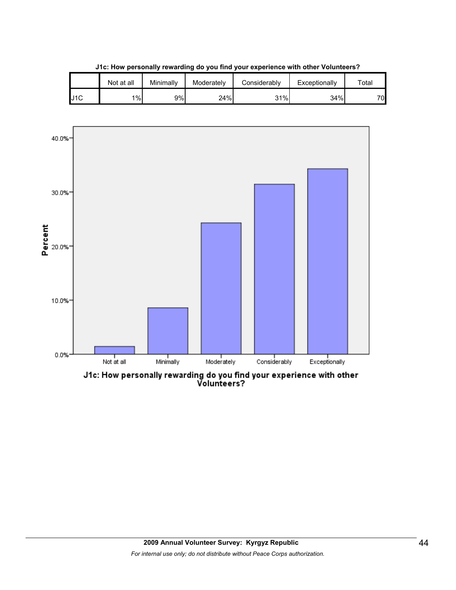|     | Not at all | Minimally | Moderately | Considerably | Exceptionally | $\tau$ otal |
|-----|------------|-----------|------------|--------------|---------------|-------------|
| J1C | $1\%$      | 9%l       | 24%        | 31%          | 34%           | 70.         |

**J1c: How personally rewarding do you find your experience with other Volunteers?**



J1c: How personally rewarding do you find your experience with other<br>Volunteers?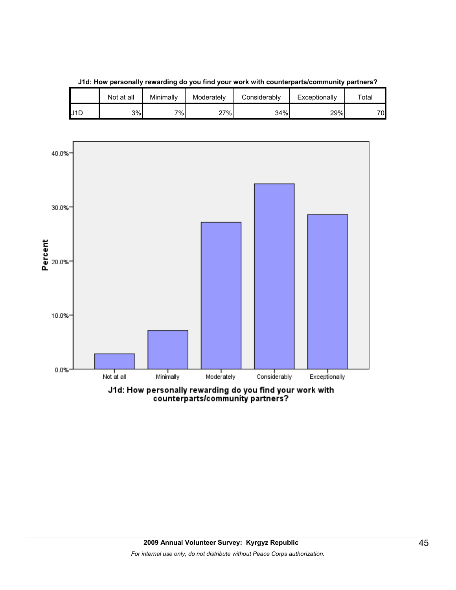

**J1d: How personally rewarding do you find your work with counterparts/community partners?**

Not at all | Minimally | Moderately | Considerably | Exceptionally | Total

J1d: How personally rewarding do you find your work with<br>counterparts/community partners?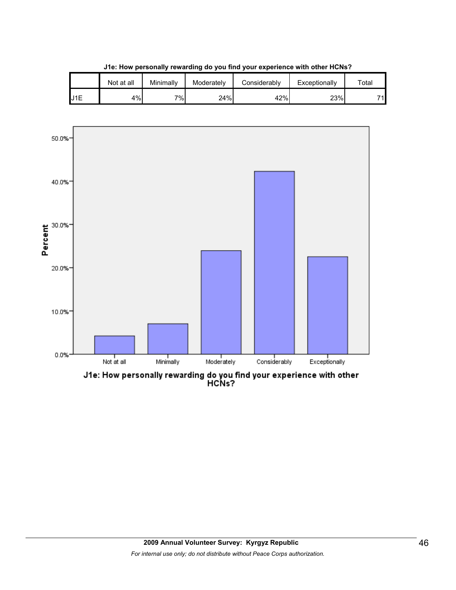|     | Not at all | Minimallv | Moderately | Considerablv | Exceptionally | $\tau$ otal |
|-----|------------|-----------|------------|--------------|---------------|-------------|
| J1E | 4%         | $7\%$     | 24%        | 42%          | 23%           | 74          |

**J1e: How personally rewarding do you find your experience with other HCNs?**

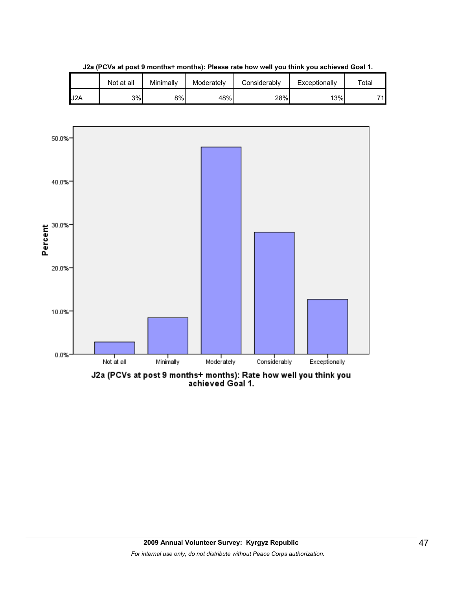

**J2a (PCVs at post 9 months+ months): Please rate how well you think you achieved Goal 1.**

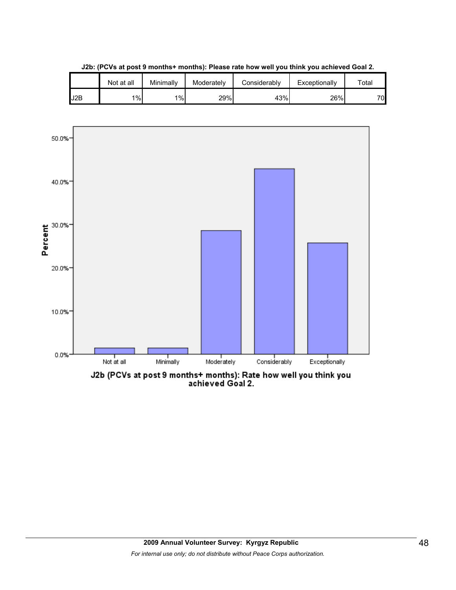

**J2b: (PCVs at post 9 months+ months): Please rate how well you think you achieved Goal 2.**



J2b (PCVs at post 9 months+ months): Rate how well you think you<br>achieved Goal 2.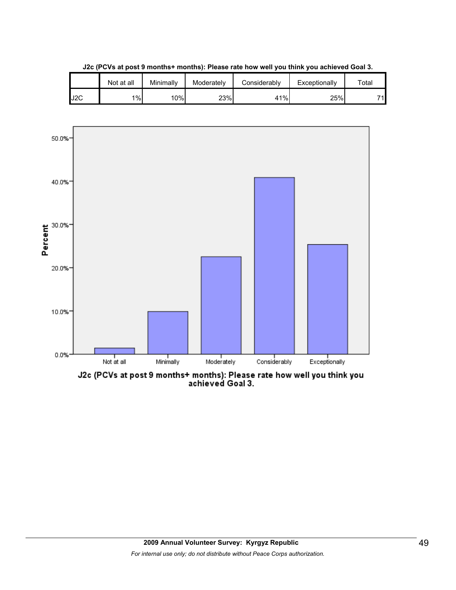

**J2c (PCVs at post 9 months+ months): Please rate how well you think you achieved Goal 3.**



J2c (PCVs at post 9 months+ months): Please rate how well you think you<br>achieved Goal 3.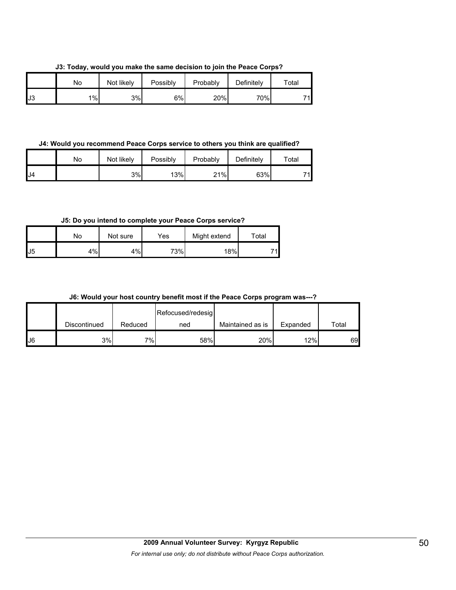**J3: Today, would you make the same decision to join the Peace Corps?**

|    | No | Not likely | Possibly | Probably | Definitely | $\tau$ otal |
|----|----|------------|----------|----------|------------|-------------|
| J3 | 1% | 3%         | 6%       | 20%      | 70%        | 71          |

**J4: Would you recommend Peace Corps service to others you think are qualified?**

|     | No | Not likely | Possibly | Probably | Definitely | $\tau$ otal |
|-----|----|------------|----------|----------|------------|-------------|
| IJ4 |    | 3%         | 13%      | 21%      | 63%        | 74          |

**J5: Do you intend to complete your Peace Corps service?**

|     | No | Not sure | Yes | Might extend | Total |
|-----|----|----------|-----|--------------|-------|
| IJ5 | 4% | 4%       | 73% | 18%          | 71    |

**J6: Would your host country benefit most if the Peace Corps program was---?**

|     |              |         | Refocused/redesig |                  |          |       |
|-----|--------------|---------|-------------------|------------------|----------|-------|
|     | Discontinued | Reduced | ned               | Maintained as is | Expanded | Total |
| IJ6 | 3%           | 7%      | 58%               | 20%              | 12%      | 69    |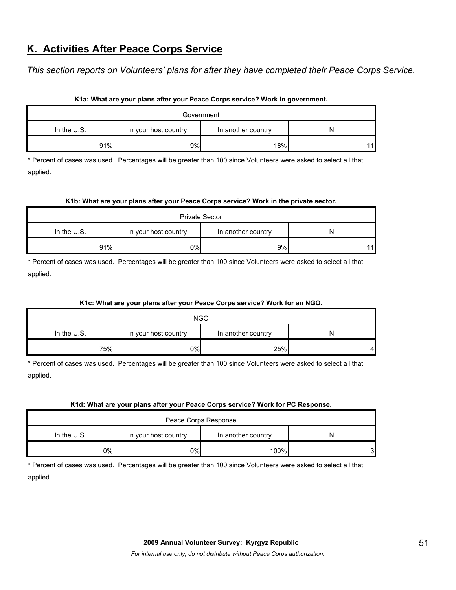## **K. Activities After Peace Corps Service**

*This section reports on Volunteers' plans for after they have completed their Peace Corps Service.* 

| Government                                                  |    |     |    |  |  |
|-------------------------------------------------------------|----|-----|----|--|--|
| In the $U.S.$<br>In another country<br>In your host country |    |     |    |  |  |
| 91%                                                         | 9% | 18% | 11 |  |  |

#### **K1a: What are your plans after your Peace Corps service? Work in government.**

\* Percent of cases was used. Percentages will be greater than 100 since Volunteers were asked to select all that applied.

#### **K1b: What are your plans after your Peace Corps service? Work in the private sector.**

| <b>Private Sector</b>                                          |     |    |    |  |  |  |
|----------------------------------------------------------------|-----|----|----|--|--|--|
| In the U.S.<br>In your host country<br>In another country<br>N |     |    |    |  |  |  |
| 91%                                                            | 0%l | 9% | 11 |  |  |  |

\* Percent of cases was used. Percentages will be greater than 100 since Volunteers were asked to select all that applied.

## **K1c: What are your plans after your Peace Corps service? Work for an NGO.**

| <b>NGO</b>                                                       |    |     |    |  |  |  |
|------------------------------------------------------------------|----|-----|----|--|--|--|
| In the $U.S.$<br>In your host country<br>In another country<br>N |    |     |    |  |  |  |
| 75%                                                              | 0% | 25% | 41 |  |  |  |

\* Percent of cases was used. Percentages will be greater than 100 since Volunteers were asked to select all that applied.

#### **K1d: What are your plans after your Peace Corps service? Work for PC Response.**

| Peace Corps Response                                        |    |      |   |  |  |  |
|-------------------------------------------------------------|----|------|---|--|--|--|
| In the $U.S.$<br>In another country<br>In your host country |    |      |   |  |  |  |
| 9%                                                          | 0% | 100% | 3 |  |  |  |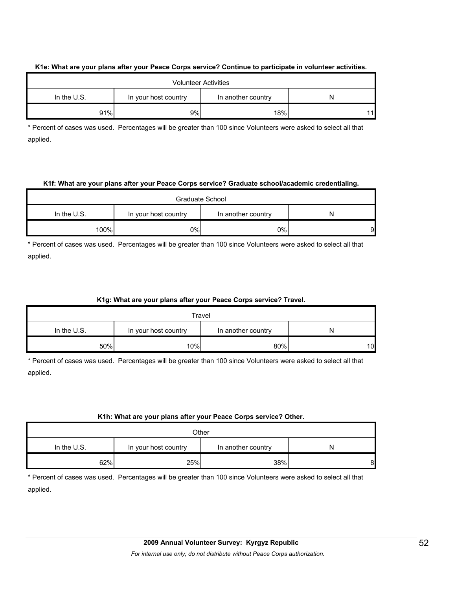#### **K1e: What are your plans after your Peace Corps service? Continue to participate in volunteer activities.**

| <b>Volunteer Activities</b>                                 |    |     |    |  |  |  |
|-------------------------------------------------------------|----|-----|----|--|--|--|
| In the $U.S.$<br>In your host country<br>In another country |    |     |    |  |  |  |
| 91%                                                         | 9% | 18% | 11 |  |  |  |

\* Percent of cases was used. Percentages will be greater than 100 since Volunteers were asked to select all that applied.

#### **K1f: What are your plans after your Peace Corps service? Graduate school/academic credentialing.**

| Graduate School                                             |     |     |    |  |  |  |
|-------------------------------------------------------------|-----|-----|----|--|--|--|
| In the $U.S.$<br>In another country<br>In your host country |     |     |    |  |  |  |
| 100%                                                        | 0%l | 0%l | 91 |  |  |  |

\* Percent of cases was used. Percentages will be greater than 100 since Volunteers were asked to select all that applied.

## **K1g: What are your plans after your Peace Corps service? Travel.**

| Travel                                                    |     |     |    |  |  |  |
|-----------------------------------------------------------|-----|-----|----|--|--|--|
| In the U.S.<br>In another country<br>In your host country |     |     |    |  |  |  |
| 50%                                                       | 10% | 80% | 10 |  |  |  |

\* Percent of cases was used. Percentages will be greater than 100 since Volunteers were asked to select all that applied.

## **K1h: What are your plans after your Peace Corps service? Other.**

| Other                                                       |     |     |   |  |  |  |
|-------------------------------------------------------------|-----|-----|---|--|--|--|
| In the $U.S.$<br>In your host country<br>In another country |     |     |   |  |  |  |
| 62%                                                         | 25% | 38% | 8 |  |  |  |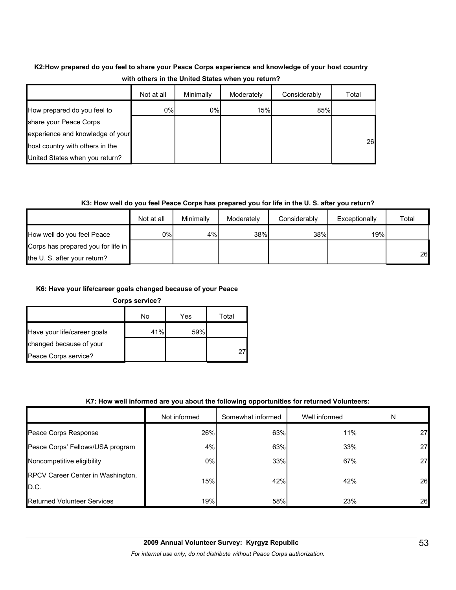## **K2:How prepared do you feel to share your Peace Corps experience and knowledge of your host country with others in the United States when you return?**

|                                  | Not at all | Minimally | Moderately | Considerably | Total |
|----------------------------------|------------|-----------|------------|--------------|-------|
| How prepared do you feel to      | $0\%$      | 0%        | 15%        | 85%          |       |
| share your Peace Corps           |            |           |            |              |       |
| experience and knowledge of your |            |           |            |              |       |
| host country with others in the  |            |           |            |              | 26    |
| United States when you return?   |            |           |            |              |       |

## **K3: How well do you feel Peace Corps has prepared you for life in the U. S. after you return?**

|                                    | Not at all | Minimally | Moderately | Considerably | Exceptionally | Total |
|------------------------------------|------------|-----------|------------|--------------|---------------|-------|
| How well do you feel Peace         | 0%I        | 4%        | 38%        | 38%          | 19%           |       |
| Corps has prepared you for life in |            |           |            |              |               |       |
| the U.S. after your return?        |            |           |            |              |               | 26    |

## **K6: Have your life/career goals changed because of your Peace**

**Corps service?**

|                             | No  | Yes | Total |
|-----------------------------|-----|-----|-------|
| Have your life/career goals | 41% | 59% |       |
| changed because of your     |     |     |       |
| Peace Corps service?        |     |     | 27    |

## **K7: How well informed are you about the following opportunities for returned Volunteers:**

|                                           | Not informed | Somewhat informed | Well informed | N  |
|-------------------------------------------|--------------|-------------------|---------------|----|
| Peace Corps Response                      | 26%          | 63%               | 11%           | 27 |
| Peace Corps' Fellows/USA program          | 4%           | 63%               | 33%           | 27 |
| Noncompetitive eligibility                | 0%           | 33%               | 67%           | 27 |
| RPCV Career Center in Washington,<br>D.C. | 15%          | 42%               | 42%           | 26 |
| Returned Volunteer Services               | 19%          | 58%               | 23%           | 26 |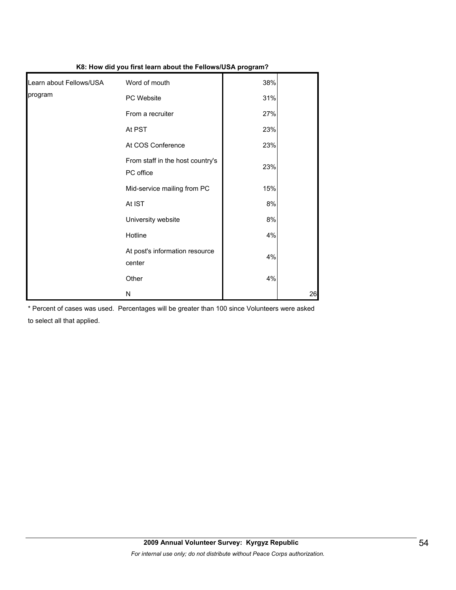|                         | ** **** * ****** ***************              |     |    |
|-------------------------|-----------------------------------------------|-----|----|
| Learn about Fellows/USA | Word of mouth                                 | 38% |    |
| program                 | PC Website                                    | 31% |    |
|                         | From a recruiter                              | 27% |    |
|                         | At PST                                        | 23% |    |
|                         | At COS Conference                             | 23% |    |
|                         | From staff in the host country's<br>PC office | 23% |    |
|                         | Mid-service mailing from PC                   | 15% |    |
|                         | At IST                                        | 8%  |    |
|                         | University website                            | 8%  |    |
|                         | Hotline                                       | 4%  |    |
|                         | At post's information resource<br>center      | 4%  |    |
|                         | Other                                         | 4%  |    |
|                         | N                                             |     | 26 |

**K8: How did you first learn about the Fellows/USA program?**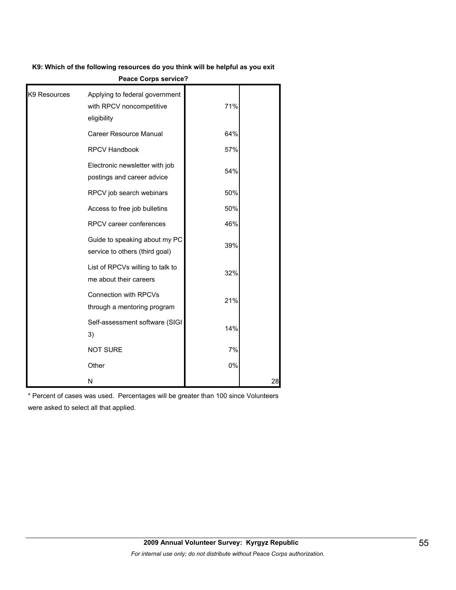**K9: Which of the following resources do you think will be helpful as you exit** 

| K9 Resources | Applying to federal government<br>with RPCV noncompetitive<br>eligibility | 71% |    |
|--------------|---------------------------------------------------------------------------|-----|----|
|              | Career Resource Manual                                                    | 64% |    |
|              | <b>RPCV Handbook</b>                                                      | 57% |    |
|              | Electronic newsletter with job<br>postings and career advice              | 54% |    |
|              | RPCV job search webinars                                                  | 50% |    |
|              | Access to free job bulletins                                              | 50% |    |
|              | RPCV career conferences                                                   | 46% |    |
|              | Guide to speaking about my PC<br>service to others (third goal)           | 39% |    |
|              | List of RPCVs willing to talk to<br>me about their careers                | 32% |    |
|              | <b>Connection with RPCVs</b><br>through a mentoring program               | 21% |    |
|              | Self-assessment software (SIGI<br>3)                                      | 14% |    |
|              | <b>NOT SURE</b>                                                           | 7%  |    |
|              | Other                                                                     | 0%  |    |
|              | N                                                                         |     | 28 |

**Peace Corps service?**